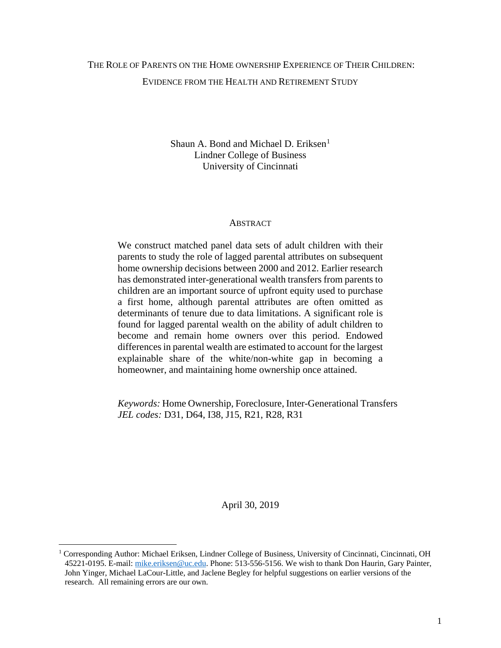# THE ROLE OF PARENTS ON THE HOME OWNERSHIP EXPERIENCE OF THEIR CHILDREN: EVIDENCE FROM THE HEALTH AND RETIREMENT STUDY

Shaun A. Bond and Michael D. Eriksen<sup>[1](#page-0-0)</sup> Lindner College of Business University of Cincinnati

# **ABSTRACT**

We construct matched panel data sets of adult children with their parents to study the role of lagged parental attributes on subsequent home ownership decisions between 2000 and 2012. Earlier research has demonstrated inter-generational wealth transfers from parents to children are an important source of upfront equity used to purchase a first home, although parental attributes are often omitted as determinants of tenure due to data limitations. A significant role is found for lagged parental wealth on the ability of adult children to become and remain home owners over this period. Endowed differences in parental wealth are estimated to account for the largest explainable share of the white/non-white gap in becoming a homeowner, and maintaining home ownership once attained.

*Keywords:* Home Ownership, Foreclosure, Inter-Generational Transfers *JEL codes:* D31, D64, I38, J15, R21, R28, R31

April 30, 2019

l

<span id="page-0-0"></span><sup>&</sup>lt;sup>1</sup> Corresponding Author: Michael Eriksen, Lindner College of Business, University of Cincinnati, Cincinnati, OH 45221-0195. E-mail: [mike.eriksen@uc.edu.](mailto:mike.eriksen@uc.edu) Phone: 513-556-5156. We wish to thank Don Haurin, Gary Painter, John Yinger, Michael LaCour-Little, and Jaclene Begley for helpful suggestions on earlier versions of the research. All remaining errors are our own.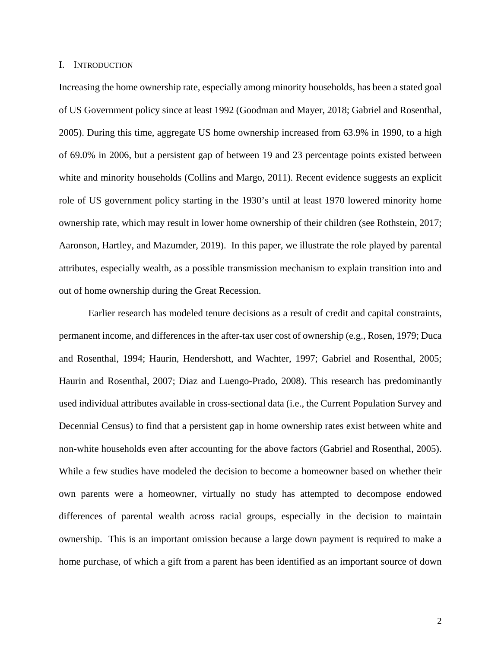#### I. INTRODUCTION

Increasing the home ownership rate, especially among minority households, has been a stated goal of US Government policy since at least 1992 (Goodman and Mayer, 2018; Gabriel and Rosenthal, 2005). During this time, aggregate US home ownership increased from 63.9% in 1990, to a high of 69.0% in 2006, but a persistent gap of between 19 and 23 percentage points existed between white and minority households (Collins and Margo, 2011). Recent evidence suggests an explicit role of US government policy starting in the 1930's until at least 1970 lowered minority home ownership rate, which may result in lower home ownership of their children (see Rothstein, 2017; Aaronson, Hartley, and Mazumder, 2019). In this paper, we illustrate the role played by parental attributes, especially wealth, as a possible transmission mechanism to explain transition into and out of home ownership during the Great Recession.

Earlier research has modeled tenure decisions as a result of credit and capital constraints, permanent income, and differences in the after-tax user cost of ownership (e.g., Rosen, 1979; Duca and Rosenthal, 1994; Haurin, Hendershott, and Wachter, 1997; Gabriel and Rosenthal, 2005; Haurin and Rosenthal, 2007; Diaz and Luengo-Prado, 2008). This research has predominantly used individual attributes available in cross-sectional data (i.e., the Current Population Survey and Decennial Census) to find that a persistent gap in home ownership rates exist between white and non-white households even after accounting for the above factors (Gabriel and Rosenthal, 2005). While a few studies have modeled the decision to become a homeowner based on whether their own parents were a homeowner, virtually no study has attempted to decompose endowed differences of parental wealth across racial groups, especially in the decision to maintain ownership. This is an important omission because a large down payment is required to make a home purchase, of which a gift from a parent has been identified as an important source of down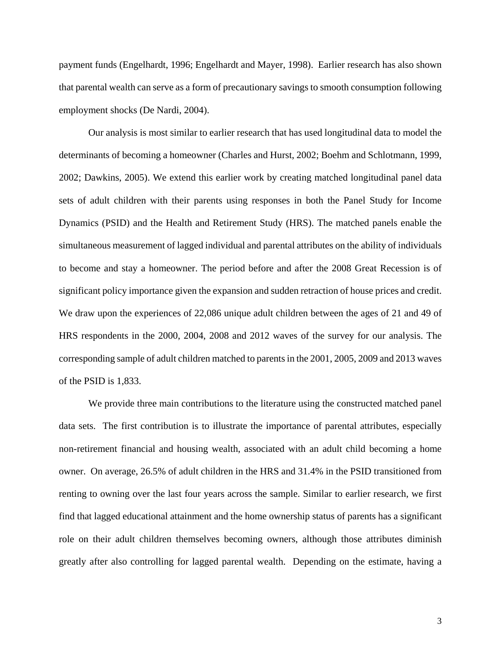payment funds (Engelhardt, 1996; Engelhardt and Mayer, 1998). Earlier research has also shown that parental wealth can serve as a form of precautionary savings to smooth consumption following employment shocks (De Nardi, 2004).

Our analysis is most similar to earlier research that has used longitudinal data to model the determinants of becoming a homeowner (Charles and Hurst, 2002; Boehm and Schlotmann, 1999, 2002; Dawkins, 2005). We extend this earlier work by creating matched longitudinal panel data sets of adult children with their parents using responses in both the Panel Study for Income Dynamics (PSID) and the Health and Retirement Study (HRS). The matched panels enable the simultaneous measurement of lagged individual and parental attributes on the ability of individuals to become and stay a homeowner. The period before and after the 2008 Great Recession is of significant policy importance given the expansion and sudden retraction of house prices and credit. We draw upon the experiences of 22,086 unique adult children between the ages of 21 and 49 of HRS respondents in the 2000, 2004, 2008 and 2012 waves of the survey for our analysis. The corresponding sample of adult children matched to parents in the 2001, 2005, 2009 and 2013 waves of the PSID is 1,833.

We provide three main contributions to the literature using the constructed matched panel data sets. The first contribution is to illustrate the importance of parental attributes, especially non-retirement financial and housing wealth, associated with an adult child becoming a home owner. On average, 26.5% of adult children in the HRS and 31.4% in the PSID transitioned from renting to owning over the last four years across the sample. Similar to earlier research, we first find that lagged educational attainment and the home ownership status of parents has a significant role on their adult children themselves becoming owners, although those attributes diminish greatly after also controlling for lagged parental wealth. Depending on the estimate, having a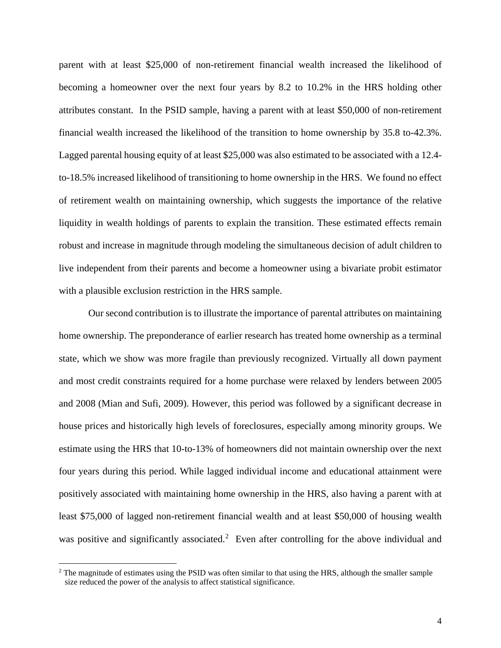parent with at least \$25,000 of non-retirement financial wealth increased the likelihood of becoming a homeowner over the next four years by 8.2 to 10.2% in the HRS holding other attributes constant. In the PSID sample, having a parent with at least \$50,000 of non-retirement financial wealth increased the likelihood of the transition to home ownership by 35.8 to-42.3%. Lagged parental housing equity of at least \$25,000 was also estimated to be associated with a 12.4 to-18.5% increased likelihood of transitioning to home ownership in the HRS. We found no effect of retirement wealth on maintaining ownership, which suggests the importance of the relative liquidity in wealth holdings of parents to explain the transition. These estimated effects remain robust and increase in magnitude through modeling the simultaneous decision of adult children to live independent from their parents and become a homeowner using a bivariate probit estimator with a plausible exclusion restriction in the HRS sample.

Our second contribution is to illustrate the importance of parental attributes on maintaining home ownership. The preponderance of earlier research has treated home ownership as a terminal state, which we show was more fragile than previously recognized. Virtually all down payment and most credit constraints required for a home purchase were relaxed by lenders between 2005 and 2008 (Mian and Sufi, 2009). However, this period was followed by a significant decrease in house prices and historically high levels of foreclosures, especially among minority groups. We estimate using the HRS that 10-to-13% of homeowners did not maintain ownership over the next four years during this period. While lagged individual income and educational attainment were positively associated with maintaining home ownership in the HRS, also having a parent with at least \$75,000 of lagged non-retirement financial wealth and at least \$50,000 of housing wealth was positive and significantly associated.<sup>[2](#page-3-0)</sup> Even after controlling for the above individual and

 $\overline{\phantom{a}}$ 

<span id="page-3-0"></span> $2$  The magnitude of estimates using the PSID was often similar to that using the HRS, although the smaller sample size reduced the power of the analysis to affect statistical significance.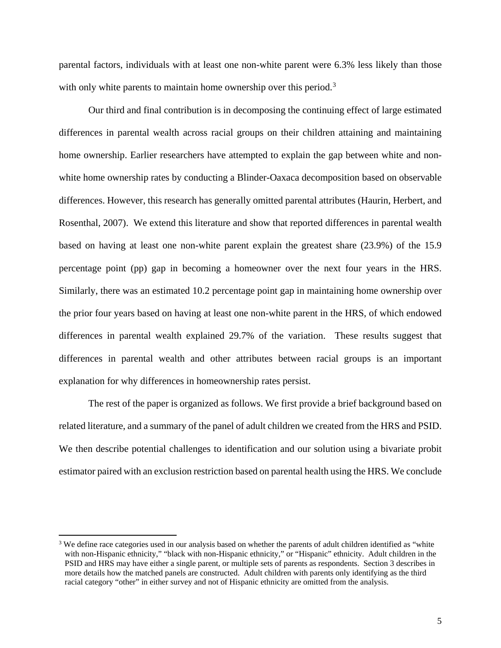parental factors, individuals with at least one non-white parent were 6.3% less likely than those with only white parents to maintain home ownership over this period.<sup>[3](#page-4-0)</sup>

Our third and final contribution is in decomposing the continuing effect of large estimated differences in parental wealth across racial groups on their children attaining and maintaining home ownership. Earlier researchers have attempted to explain the gap between white and nonwhite home ownership rates by conducting a Blinder-Oaxaca decomposition based on observable differences. However, this research has generally omitted parental attributes (Haurin, Herbert, and Rosenthal, 2007). We extend this literature and show that reported differences in parental wealth based on having at least one non-white parent explain the greatest share (23.9%) of the 15.9 percentage point (pp) gap in becoming a homeowner over the next four years in the HRS. Similarly, there was an estimated 10.2 percentage point gap in maintaining home ownership over the prior four years based on having at least one non-white parent in the HRS, of which endowed differences in parental wealth explained 29.7% of the variation. These results suggest that differences in parental wealth and other attributes between racial groups is an important explanation for why differences in homeownership rates persist.

The rest of the paper is organized as follows. We first provide a brief background based on related literature, and a summary of the panel of adult children we created from the HRS and PSID. We then describe potential challenges to identification and our solution using a bivariate probit estimator paired with an exclusion restriction based on parental health using the HRS. We conclude

 $\overline{\phantom{a}}$ 

<span id="page-4-0"></span><sup>&</sup>lt;sup>3</sup> We define race categories used in our analysis based on whether the parents of adult children identified as "white with non-Hispanic ethnicity," "black with non-Hispanic ethnicity," or "Hispanic" ethnicity. Adult children in the PSID and HRS may have either a single parent, or multiple sets of parents as respondents. Section 3 describes in more details how the matched panels are constructed. Adult children with parents only identifying as the third racial category "other" in either survey and not of Hispanic ethnicity are omitted from the analysis.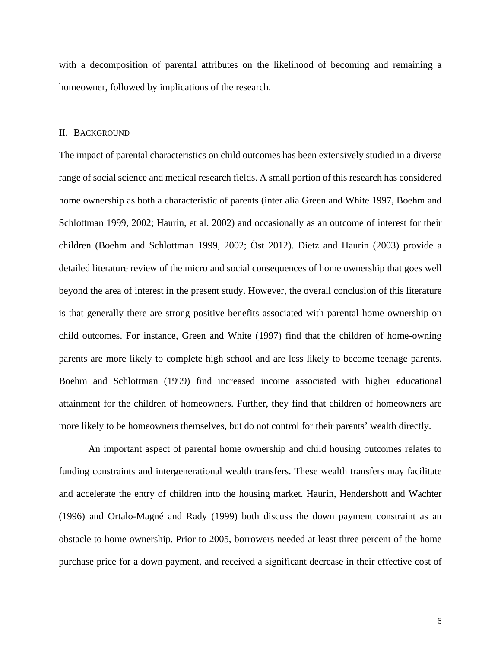with a decomposition of parental attributes on the likelihood of becoming and remaining a homeowner, followed by implications of the research.

#### II. BACKGROUND

The impact of parental characteristics on child outcomes has been extensively studied in a diverse range of social science and medical research fields. A small portion of this research has considered home ownership as both a characteristic of parents (inter alia Green and White 1997, Boehm and Schlottman 1999, 2002; Haurin, et al. 2002) and occasionally as an outcome of interest for their children (Boehm and Schlottman 1999, 2002; Öst 2012). Dietz and Haurin (2003) provide a detailed literature review of the micro and social consequences of home ownership that goes well beyond the area of interest in the present study. However, the overall conclusion of this literature is that generally there are strong positive benefits associated with parental home ownership on child outcomes. For instance, Green and White (1997) find that the children of home-owning parents are more likely to complete high school and are less likely to become teenage parents. Boehm and Schlottman (1999) find increased income associated with higher educational attainment for the children of homeowners. Further, they find that children of homeowners are more likely to be homeowners themselves, but do not control for their parents' wealth directly.

An important aspect of parental home ownership and child housing outcomes relates to funding constraints and intergenerational wealth transfers. These wealth transfers may facilitate and accelerate the entry of children into the housing market. Haurin, Hendershott and Wachter (1996) and Ortalo-Magné and Rady (1999) both discuss the down payment constraint as an obstacle to home ownership. Prior to 2005, borrowers needed at least three percent of the home purchase price for a down payment, and received a significant decrease in their effective cost of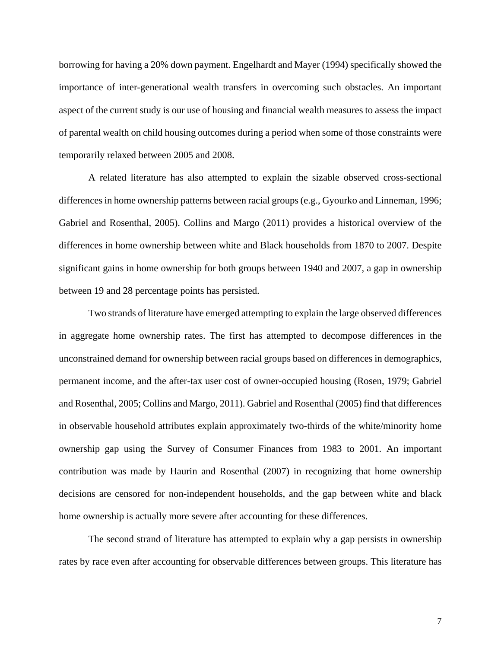borrowing for having a 20% down payment. Engelhardt and Mayer (1994) specifically showed the importance of inter-generational wealth transfers in overcoming such obstacles. An important aspect of the current study is our use of housing and financial wealth measures to assess the impact of parental wealth on child housing outcomes during a period when some of those constraints were temporarily relaxed between 2005 and 2008.

A related literature has also attempted to explain the sizable observed cross-sectional differences in home ownership patterns between racial groups(e.g., Gyourko and Linneman, 1996; Gabriel and Rosenthal, 2005). Collins and Margo (2011) provides a historical overview of the differences in home ownership between white and Black households from 1870 to 2007. Despite significant gains in home ownership for both groups between 1940 and 2007, a gap in ownership between 19 and 28 percentage points has persisted.

Two strands of literature have emerged attempting to explain the large observed differences in aggregate home ownership rates. The first has attempted to decompose differences in the unconstrained demand for ownership between racial groups based on differences in demographics, permanent income, and the after-tax user cost of owner-occupied housing (Rosen, 1979; Gabriel and Rosenthal, 2005; Collins and Margo, 2011). Gabriel and Rosenthal (2005) find that differences in observable household attributes explain approximately two-thirds of the white/minority home ownership gap using the Survey of Consumer Finances from 1983 to 2001. An important contribution was made by Haurin and Rosenthal (2007) in recognizing that home ownership decisions are censored for non-independent households, and the gap between white and black home ownership is actually more severe after accounting for these differences.

The second strand of literature has attempted to explain why a gap persists in ownership rates by race even after accounting for observable differences between groups. This literature has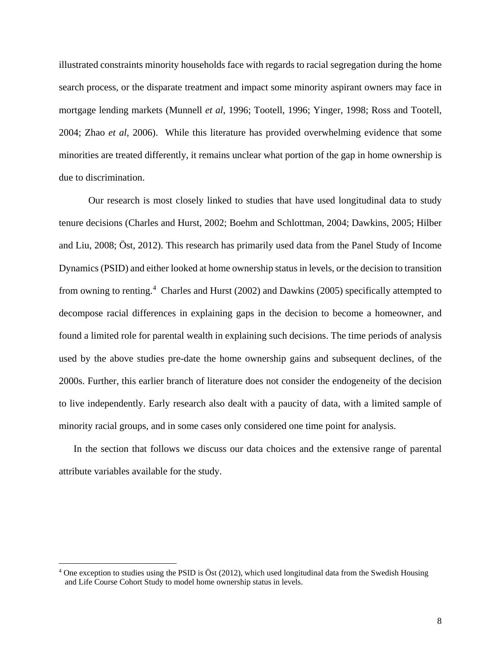illustrated constraints minority households face with regards to racial segregation during the home search process, or the disparate treatment and impact some minority aspirant owners may face in mortgage lending markets (Munnell *et al*, 1996; Tootell, 1996; Yinger, 1998; Ross and Tootell, 2004; Zhao *et al*, 2006). While this literature has provided overwhelming evidence that some minorities are treated differently, it remains unclear what portion of the gap in home ownership is due to discrimination.

Our research is most closely linked to studies that have used longitudinal data to study tenure decisions (Charles and Hurst, 2002; Boehm and Schlottman, 2004; Dawkins, 2005; Hilber and Liu, 2008; Öst, 2012). This research has primarily used data from the Panel Study of Income Dynamics (PSID) and either looked at home ownership status in levels, or the decision to transition from owning to renting.<sup>[4](#page-7-0)</sup> Charles and Hurst (2002) and Dawkins (2005) specifically attempted to decompose racial differences in explaining gaps in the decision to become a homeowner, and found a limited role for parental wealth in explaining such decisions. The time periods of analysis used by the above studies pre-date the home ownership gains and subsequent declines, of the 2000s. Further, this earlier branch of literature does not consider the endogeneity of the decision to live independently. Early research also dealt with a paucity of data, with a limited sample of minority racial groups, and in some cases only considered one time point for analysis.

In the section that follows we discuss our data choices and the extensive range of parental attribute variables available for the study.

 $\overline{\phantom{a}}$ 

<span id="page-7-0"></span><sup>4</sup> One exception to studies using the PSID is Öst (2012), which used longitudinal data from the Swedish Housing and Life Course Cohort Study to model home ownership status in levels.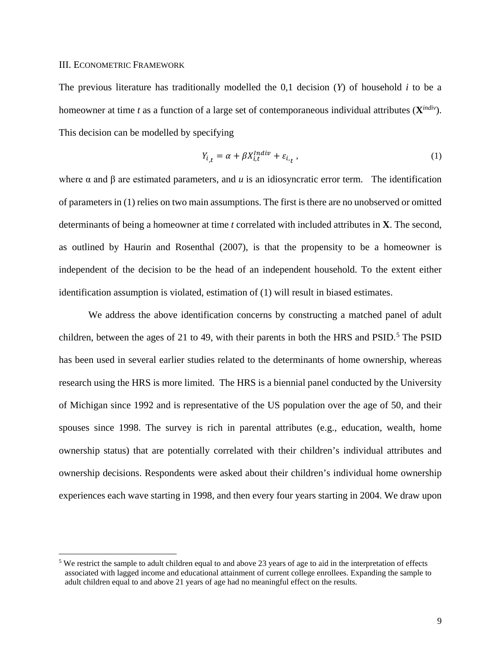#### III. ECONOMETRIC FRAMEWORK

 $\overline{a}$ 

The previous literature has traditionally modelled the 0,1 decision (*Y*) of household *i* to be a homeowner at time *t* as a function of a large set of contemporaneous individual attributes (**X***indiv*). This decision can be modelled by specifying

$$
Y_{i,t} = \alpha + \beta X_{i,t}^{Indiv} + \varepsilon_{i,t} \,, \tag{1}
$$

where  $\alpha$  and  $\beta$  are estimated parameters, and *u* is an idiosyncratic error term. The identification of parameters in (1) relies on two main assumptions. The first is there are no unobserved or omitted determinants of being a homeowner at time *t* correlated with included attributes in **X**. The second, as outlined by Haurin and Rosenthal (2007), is that the propensity to be a homeowner is independent of the decision to be the head of an independent household. To the extent either identification assumption is violated, estimation of (1) will result in biased estimates.

We address the above identification concerns by constructing a matched panel of adult children, between the ages of 21 to 49, with their parents in both the HRS and  $PSID$ .<sup>[5](#page-8-0)</sup> The  $PSID$ has been used in several earlier studies related to the determinants of home ownership, whereas research using the HRS is more limited. The HRS is a biennial panel conducted by the University of Michigan since 1992 and is representative of the US population over the age of 50, and their spouses since 1998. The survey is rich in parental attributes (e.g., education, wealth, home ownership status) that are potentially correlated with their children's individual attributes and ownership decisions. Respondents were asked about their children's individual home ownership experiences each wave starting in 1998, and then every four years starting in 2004. We draw upon

<span id="page-8-0"></span><sup>5</sup> We restrict the sample to adult children equal to and above 23 years of age to aid in the interpretation of effects associated with lagged income and educational attainment of current college enrollees. Expanding the sample to adult children equal to and above 21 years of age had no meaningful effect on the results.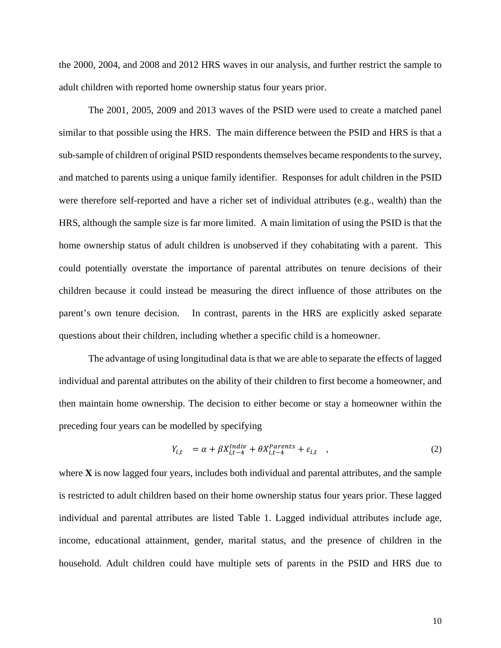the 2000, 2004, and 2008 and 2012 HRS waves in our analysis, and further restrict the sample to adult children with reported home ownership status four years prior.

The 2001, 2005, 2009 and 2013 waves of the PSID were used to create a matched panel similar to that possible using the HRS. The main difference between the PSID and HRS is that a sub-sample of children of original PSID respondents themselves became respondents to the survey, and matched to parents using a unique family identifier. Responses for adult children in the PSID were therefore self-reported and have a richer set of individual attributes (e.g., wealth) than the HRS, although the sample size is far more limited. A main limitation of using the PSID is that the home ownership status of adult children is unobserved if they cohabitating with a parent. This could potentially overstate the importance of parental attributes on tenure decisions of their children because it could instead be measuring the direct influence of those attributes on the parent's own tenure decision. In contrast, parents in the HRS are explicitly asked separate questions about their children, including whether a specific child is a homeowner.

The advantage of using longitudinal data is that we are able to separate the effects of lagged individual and parental attributes on the ability of their children to first become a homeowner, and then maintain home ownership. The decision to either become or stay a homeowner within the preceding four years can be modelled by specifying

$$
Y_{i,t} = \alpha + \beta X_{i,t-4}^{Indiv} + \theta X_{i,t-4}^{Parents} + \varepsilon_{i,t} \quad , \tag{2}
$$

where **X** is now lagged four years, includes both individual and parental attributes, and the sample is restricted to adult children based on their home ownership status four years prior. These lagged individual and parental attributes are listed Table 1. Lagged individual attributes include age, income, educational attainment, gender, marital status, and the presence of children in the household. Adult children could have multiple sets of parents in the PSID and HRS due to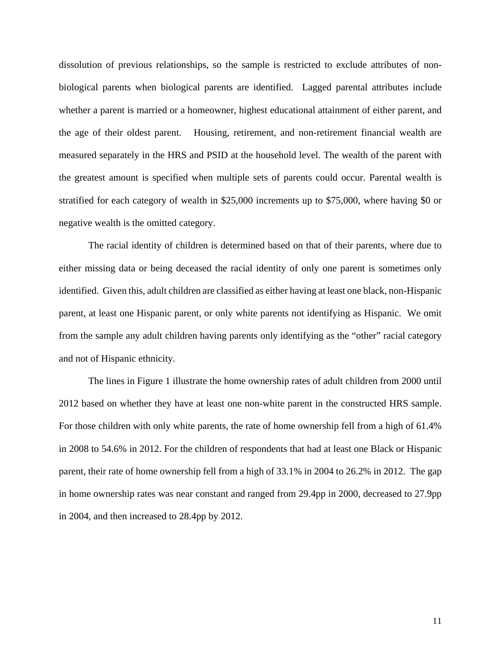dissolution of previous relationships, so the sample is restricted to exclude attributes of nonbiological parents when biological parents are identified. Lagged parental attributes include whether a parent is married or a homeowner, highest educational attainment of either parent, and the age of their oldest parent. Housing, retirement, and non-retirement financial wealth are measured separately in the HRS and PSID at the household level. The wealth of the parent with the greatest amount is specified when multiple sets of parents could occur. Parental wealth is stratified for each category of wealth in \$25,000 increments up to \$75,000, where having \$0 or negative wealth is the omitted category.

The racial identity of children is determined based on that of their parents, where due to either missing data or being deceased the racial identity of only one parent is sometimes only identified. Given this, adult children are classified as either having at least one black, non-Hispanic parent, at least one Hispanic parent, or only white parents not identifying as Hispanic. We omit from the sample any adult children having parents only identifying as the "other" racial category and not of Hispanic ethnicity.

The lines in Figure 1 illustrate the home ownership rates of adult children from 2000 until 2012 based on whether they have at least one non-white parent in the constructed HRS sample. For those children with only white parents, the rate of home ownership fell from a high of 61.4% in 2008 to 54.6% in 2012. For the children of respondents that had at least one Black or Hispanic parent, their rate of home ownership fell from a high of 33.1% in 2004 to 26.2% in 2012. The gap in home ownership rates was near constant and ranged from 29.4pp in 2000, decreased to 27.9pp in 2004, and then increased to 28.4pp by 2012.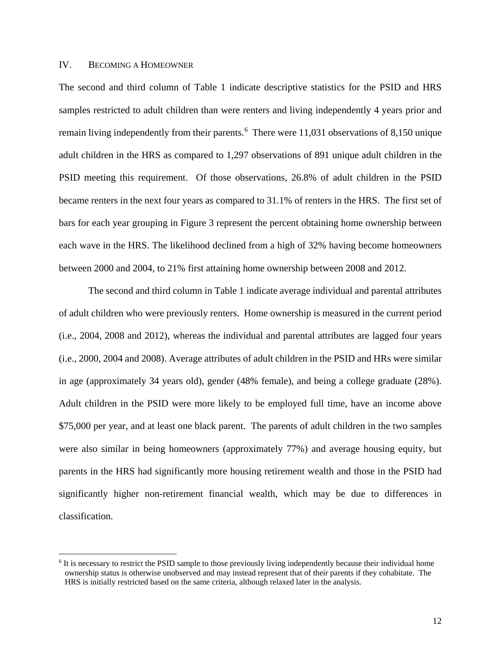# IV. BECOMING A HOMEOWNER

 $\overline{a}$ 

The second and third column of Table 1 indicate descriptive statistics for the PSID and HRS samples restricted to adult children than were renters and living independently 4 years prior and remain living independently from their parents. [6](#page-11-0) There were 11,031 observations of 8,150 unique adult children in the HRS as compared to 1,297 observations of 891 unique adult children in the PSID meeting this requirement. Of those observations, 26.8% of adult children in the PSID became renters in the next four years as compared to 31.1% of renters in the HRS. The first set of bars for each year grouping in Figure 3 represent the percent obtaining home ownership between each wave in the HRS. The likelihood declined from a high of 32% having become homeowners between 2000 and 2004, to 21% first attaining home ownership between 2008 and 2012.

The second and third column in Table 1 indicate average individual and parental attributes of adult children who were previously renters. Home ownership is measured in the current period (i.e., 2004, 2008 and 2012), whereas the individual and parental attributes are lagged four years (i.e., 2000, 2004 and 2008). Average attributes of adult children in the PSID and HRs were similar in age (approximately 34 years old), gender (48% female), and being a college graduate (28%). Adult children in the PSID were more likely to be employed full time, have an income above \$75,000 per year, and at least one black parent. The parents of adult children in the two samples were also similar in being homeowners (approximately 77%) and average housing equity, but parents in the HRS had significantly more housing retirement wealth and those in the PSID had significantly higher non-retirement financial wealth, which may be due to differences in classification.

<span id="page-11-0"></span><sup>&</sup>lt;sup>6</sup> It is necessary to restrict the PSID sample to those previously living independently because their individual home ownership status is otherwise unobserved and may instead represent that of their parents if they cohabitate. The HRS is initially restricted based on the same criteria, although relaxed later in the analysis.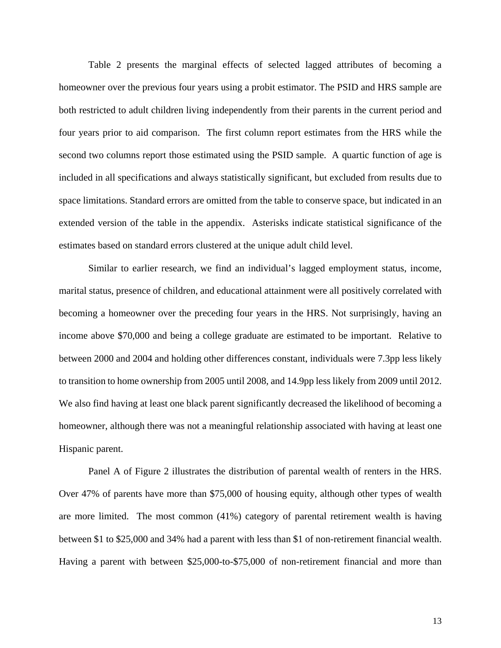Table 2 presents the marginal effects of selected lagged attributes of becoming a homeowner over the previous four years using a probit estimator. The PSID and HRS sample are both restricted to adult children living independently from their parents in the current period and four years prior to aid comparison. The first column report estimates from the HRS while the second two columns report those estimated using the PSID sample. A quartic function of age is included in all specifications and always statistically significant, but excluded from results due to space limitations. Standard errors are omitted from the table to conserve space, but indicated in an extended version of the table in the appendix. Asterisks indicate statistical significance of the estimates based on standard errors clustered at the unique adult child level.

Similar to earlier research, we find an individual's lagged employment status, income, marital status, presence of children, and educational attainment were all positively correlated with becoming a homeowner over the preceding four years in the HRS. Not surprisingly, having an income above \$70,000 and being a college graduate are estimated to be important. Relative to between 2000 and 2004 and holding other differences constant, individuals were 7.3pp less likely to transition to home ownership from 2005 until 2008, and 14.9pp less likely from 2009 until 2012. We also find having at least one black parent significantly decreased the likelihood of becoming a homeowner, although there was not a meaningful relationship associated with having at least one Hispanic parent.

Panel A of Figure 2 illustrates the distribution of parental wealth of renters in the HRS. Over 47% of parents have more than \$75,000 of housing equity, although other types of wealth are more limited. The most common (41%) category of parental retirement wealth is having between \$1 to \$25,000 and 34% had a parent with less than \$1 of non-retirement financial wealth. Having a parent with between \$25,000-to-\$75,000 of non-retirement financial and more than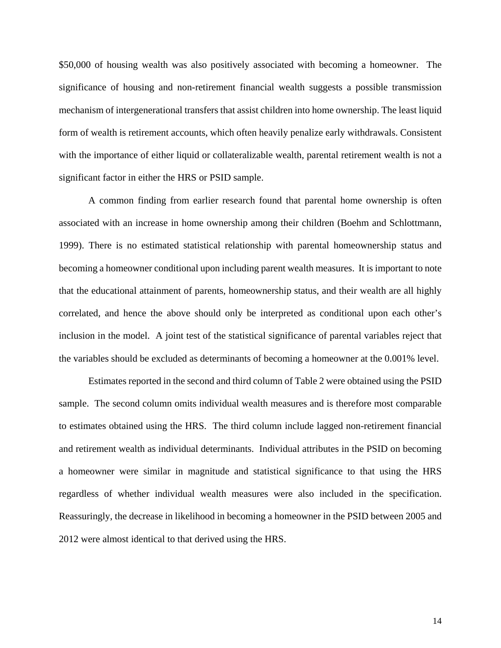\$50,000 of housing wealth was also positively associated with becoming a homeowner. The significance of housing and non-retirement financial wealth suggests a possible transmission mechanism of intergenerational transfers that assist children into home ownership. The least liquid form of wealth is retirement accounts, which often heavily penalize early withdrawals. Consistent with the importance of either liquid or collateralizable wealth, parental retirement wealth is not a significant factor in either the HRS or PSID sample.

A common finding from earlier research found that parental home ownership is often associated with an increase in home ownership among their children (Boehm and Schlottmann, 1999). There is no estimated statistical relationship with parental homeownership status and becoming a homeowner conditional upon including parent wealth measures. It is important to note that the educational attainment of parents, homeownership status, and their wealth are all highly correlated, and hence the above should only be interpreted as conditional upon each other's inclusion in the model. A joint test of the statistical significance of parental variables reject that the variables should be excluded as determinants of becoming a homeowner at the 0.001% level.

Estimates reported in the second and third column of Table 2 were obtained using the PSID sample. The second column omits individual wealth measures and is therefore most comparable to estimates obtained using the HRS. The third column include lagged non-retirement financial and retirement wealth as individual determinants. Individual attributes in the PSID on becoming a homeowner were similar in magnitude and statistical significance to that using the HRS regardless of whether individual wealth measures were also included in the specification. Reassuringly, the decrease in likelihood in becoming a homeowner in the PSID between 2005 and 2012 were almost identical to that derived using the HRS.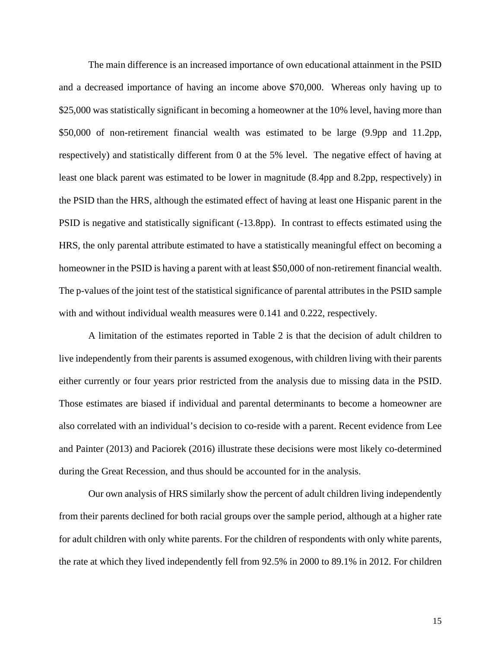The main difference is an increased importance of own educational attainment in the PSID and a decreased importance of having an income above \$70,000. Whereas only having up to \$25,000 was statistically significant in becoming a homeowner at the 10% level, having more than \$50,000 of non-retirement financial wealth was estimated to be large (9.9pp and 11.2pp, respectively) and statistically different from 0 at the 5% level. The negative effect of having at least one black parent was estimated to be lower in magnitude (8.4pp and 8.2pp, respectively) in the PSID than the HRS, although the estimated effect of having at least one Hispanic parent in the PSID is negative and statistically significant (-13.8pp). In contrast to effects estimated using the HRS, the only parental attribute estimated to have a statistically meaningful effect on becoming a homeowner in the PSID is having a parent with at least \$50,000 of non-retirement financial wealth. The p-values of the joint test of the statistical significance of parental attributes in the PSID sample with and without individual wealth measures were 0.141 and 0.222, respectively.

A limitation of the estimates reported in Table 2 is that the decision of adult children to live independently from their parents is assumed exogenous, with children living with their parents either currently or four years prior restricted from the analysis due to missing data in the PSID. Those estimates are biased if individual and parental determinants to become a homeowner are also correlated with an individual's decision to co-reside with a parent. Recent evidence from Lee and Painter (2013) and Paciorek (2016) illustrate these decisions were most likely co-determined during the Great Recession, and thus should be accounted for in the analysis.

Our own analysis of HRS similarly show the percent of adult children living independently from their parents declined for both racial groups over the sample period, although at a higher rate for adult children with only white parents. For the children of respondents with only white parents, the rate at which they lived independently fell from 92.5% in 2000 to 89.1% in 2012. For children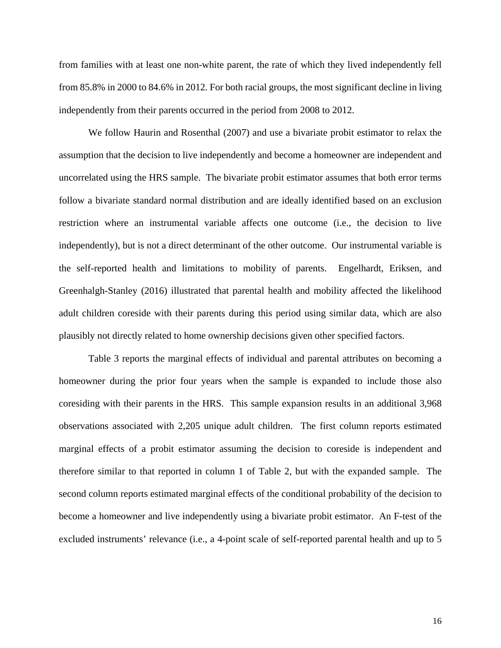from families with at least one non-white parent, the rate of which they lived independently fell from 85.8% in 2000 to 84.6% in 2012. For both racial groups, the most significant decline in living independently from their parents occurred in the period from 2008 to 2012.

We follow Haurin and Rosenthal (2007) and use a bivariate probit estimator to relax the assumption that the decision to live independently and become a homeowner are independent and uncorrelated using the HRS sample. The bivariate probit estimator assumes that both error terms follow a bivariate standard normal distribution and are ideally identified based on an exclusion restriction where an instrumental variable affects one outcome (i.e., the decision to live independently), but is not a direct determinant of the other outcome. Our instrumental variable is the self-reported health and limitations to mobility of parents. Engelhardt, Eriksen, and Greenhalgh-Stanley (2016) illustrated that parental health and mobility affected the likelihood adult children coreside with their parents during this period using similar data, which are also plausibly not directly related to home ownership decisions given other specified factors.

Table 3 reports the marginal effects of individual and parental attributes on becoming a homeowner during the prior four years when the sample is expanded to include those also coresiding with their parents in the HRS. This sample expansion results in an additional 3,968 observations associated with 2,205 unique adult children. The first column reports estimated marginal effects of a probit estimator assuming the decision to coreside is independent and therefore similar to that reported in column 1 of Table 2, but with the expanded sample. The second column reports estimated marginal effects of the conditional probability of the decision to become a homeowner and live independently using a bivariate probit estimator. An F-test of the excluded instruments' relevance (i.e., a 4-point scale of self-reported parental health and up to 5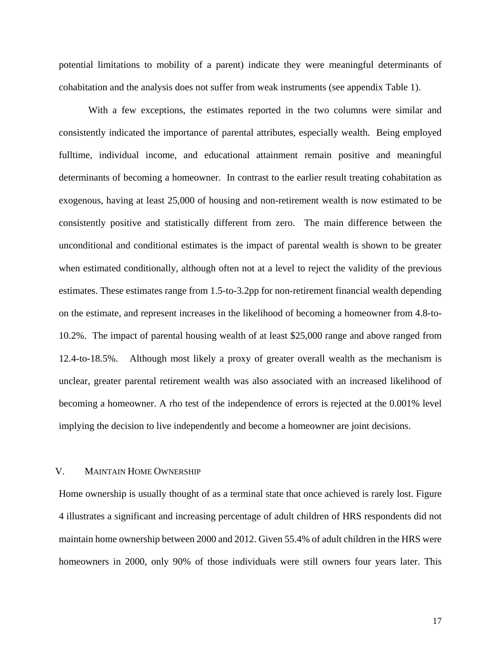potential limitations to mobility of a parent) indicate they were meaningful determinants of cohabitation and the analysis does not suffer from weak instruments (see appendix Table 1).

With a few exceptions, the estimates reported in the two columns were similar and consistently indicated the importance of parental attributes, especially wealth. Being employed fulltime, individual income, and educational attainment remain positive and meaningful determinants of becoming a homeowner. In contrast to the earlier result treating cohabitation as exogenous, having at least 25,000 of housing and non-retirement wealth is now estimated to be consistently positive and statistically different from zero. The main difference between the unconditional and conditional estimates is the impact of parental wealth is shown to be greater when estimated conditionally, although often not at a level to reject the validity of the previous estimates. These estimates range from 1.5-to-3.2pp for non-retirement financial wealth depending on the estimate, and represent increases in the likelihood of becoming a homeowner from 4.8-to-10.2%. The impact of parental housing wealth of at least \$25,000 range and above ranged from 12.4-to-18.5%. Although most likely a proxy of greater overall wealth as the mechanism is unclear, greater parental retirement wealth was also associated with an increased likelihood of becoming a homeowner. A rho test of the independence of errors is rejected at the 0.001% level implying the decision to live independently and become a homeowner are joint decisions.

# V. MAINTAIN HOME OWNERSHIP

Home ownership is usually thought of as a terminal state that once achieved is rarely lost. Figure 4 illustrates a significant and increasing percentage of adult children of HRS respondents did not maintain home ownership between 2000 and 2012. Given 55.4% of adult children in the HRS were homeowners in 2000, only 90% of those individuals were still owners four years later. This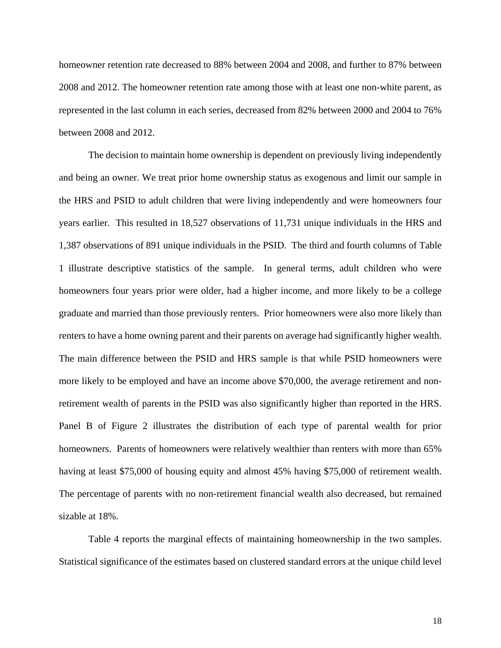homeowner retention rate decreased to 88% between 2004 and 2008, and further to 87% between 2008 and 2012. The homeowner retention rate among those with at least one non-white parent, as represented in the last column in each series, decreased from 82% between 2000 and 2004 to 76% between 2008 and 2012.

The decision to maintain home ownership is dependent on previously living independently and being an owner. We treat prior home ownership status as exogenous and limit our sample in the HRS and PSID to adult children that were living independently and were homeowners four years earlier. This resulted in 18,527 observations of 11,731 unique individuals in the HRS and 1,387 observations of 891 unique individuals in the PSID. The third and fourth columns of Table 1 illustrate descriptive statistics of the sample. In general terms, adult children who were homeowners four years prior were older, had a higher income, and more likely to be a college graduate and married than those previously renters. Prior homeowners were also more likely than renters to have a home owning parent and their parents on average had significantly higher wealth. The main difference between the PSID and HRS sample is that while PSID homeowners were more likely to be employed and have an income above \$70,000, the average retirement and nonretirement wealth of parents in the PSID was also significantly higher than reported in the HRS. Panel B of Figure 2 illustrates the distribution of each type of parental wealth for prior homeowners. Parents of homeowners were relatively wealthier than renters with more than 65% having at least \$75,000 of housing equity and almost 45% having \$75,000 of retirement wealth. The percentage of parents with no non-retirement financial wealth also decreased, but remained sizable at 18%.

Table 4 reports the marginal effects of maintaining homeownership in the two samples. Statistical significance of the estimates based on clustered standard errors at the unique child level

18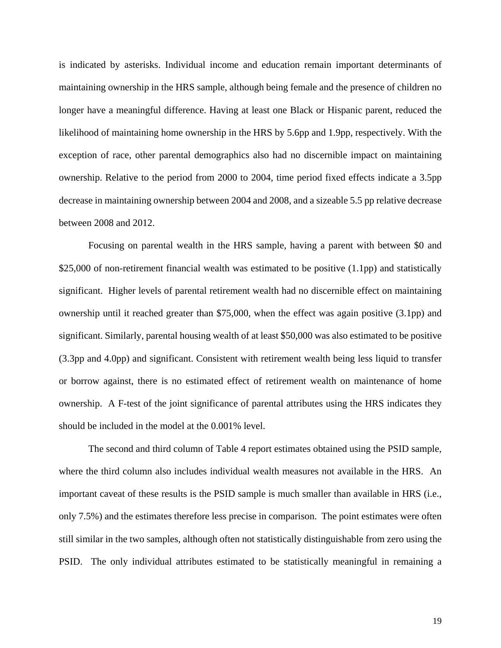is indicated by asterisks. Individual income and education remain important determinants of maintaining ownership in the HRS sample, although being female and the presence of children no longer have a meaningful difference. Having at least one Black or Hispanic parent, reduced the likelihood of maintaining home ownership in the HRS by 5.6pp and 1.9pp, respectively. With the exception of race, other parental demographics also had no discernible impact on maintaining ownership. Relative to the period from 2000 to 2004, time period fixed effects indicate a 3.5pp decrease in maintaining ownership between 2004 and 2008, and a sizeable 5.5 pp relative decrease between 2008 and 2012.

Focusing on parental wealth in the HRS sample, having a parent with between \$0 and \$25,000 of non-retirement financial wealth was estimated to be positive (1.1pp) and statistically significant. Higher levels of parental retirement wealth had no discernible effect on maintaining ownership until it reached greater than \$75,000, when the effect was again positive (3.1pp) and significant. Similarly, parental housing wealth of at least \$50,000 was also estimated to be positive (3.3pp and 4.0pp) and significant. Consistent with retirement wealth being less liquid to transfer or borrow against, there is no estimated effect of retirement wealth on maintenance of home ownership. A F-test of the joint significance of parental attributes using the HRS indicates they should be included in the model at the 0.001% level.

The second and third column of Table 4 report estimates obtained using the PSID sample, where the third column also includes individual wealth measures not available in the HRS. An important caveat of these results is the PSID sample is much smaller than available in HRS (i.e., only 7.5%) and the estimates therefore less precise in comparison. The point estimates were often still similar in the two samples, although often not statistically distinguishable from zero using the PSID. The only individual attributes estimated to be statistically meaningful in remaining a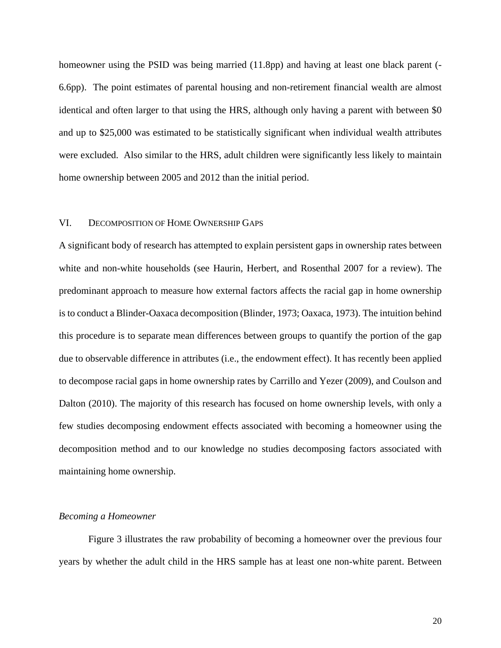homeowner using the PSID was being married (11.8pp) and having at least one black parent (-6.6pp). The point estimates of parental housing and non-retirement financial wealth are almost identical and often larger to that using the HRS, although only having a parent with between \$0 and up to \$25,000 was estimated to be statistically significant when individual wealth attributes were excluded. Also similar to the HRS, adult children were significantly less likely to maintain home ownership between 2005 and 2012 than the initial period.

#### VI. DECOMPOSITION OF HOME OWNERSHIP GAPS

A significant body of research has attempted to explain persistent gaps in ownership rates between white and non-white households (see Haurin, Herbert, and Rosenthal 2007 for a review). The predominant approach to measure how external factors affects the racial gap in home ownership is to conduct a Blinder-Oaxaca decomposition (Blinder, 1973; Oaxaca, 1973). The intuition behind this procedure is to separate mean differences between groups to quantify the portion of the gap due to observable difference in attributes (i.e., the endowment effect). It has recently been applied to decompose racial gaps in home ownership rates by Carrillo and Yezer (2009), and Coulson and Dalton (2010). The majority of this research has focused on home ownership levels, with only a few studies decomposing endowment effects associated with becoming a homeowner using the decomposition method and to our knowledge no studies decomposing factors associated with maintaining home ownership.

#### *Becoming a Homeowner*

Figure 3 illustrates the raw probability of becoming a homeowner over the previous four years by whether the adult child in the HRS sample has at least one non-white parent. Between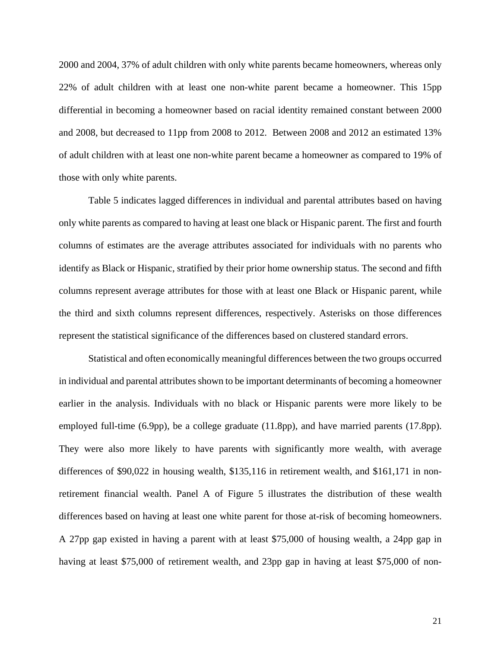2000 and 2004, 37% of adult children with only white parents became homeowners, whereas only 22% of adult children with at least one non-white parent became a homeowner. This 15pp differential in becoming a homeowner based on racial identity remained constant between 2000 and 2008, but decreased to 11pp from 2008 to 2012. Between 2008 and 2012 an estimated 13% of adult children with at least one non-white parent became a homeowner as compared to 19% of those with only white parents.

Table 5 indicates lagged differences in individual and parental attributes based on having only white parents as compared to having at least one black or Hispanic parent. The first and fourth columns of estimates are the average attributes associated for individuals with no parents who identify as Black or Hispanic, stratified by their prior home ownership status. The second and fifth columns represent average attributes for those with at least one Black or Hispanic parent, while the third and sixth columns represent differences, respectively. Asterisks on those differences represent the statistical significance of the differences based on clustered standard errors.

Statistical and often economically meaningful differences between the two groups occurred in individual and parental attributes shown to be important determinants of becoming a homeowner earlier in the analysis. Individuals with no black or Hispanic parents were more likely to be employed full-time (6.9pp), be a college graduate (11.8pp), and have married parents (17.8pp). They were also more likely to have parents with significantly more wealth, with average differences of \$90,022 in housing wealth, \$135,116 in retirement wealth, and \$161,171 in nonretirement financial wealth. Panel A of Figure 5 illustrates the distribution of these wealth differences based on having at least one white parent for those at-risk of becoming homeowners. A 27pp gap existed in having a parent with at least \$75,000 of housing wealth, a 24pp gap in having at least \$75,000 of retirement wealth, and 23pp gap in having at least \$75,000 of non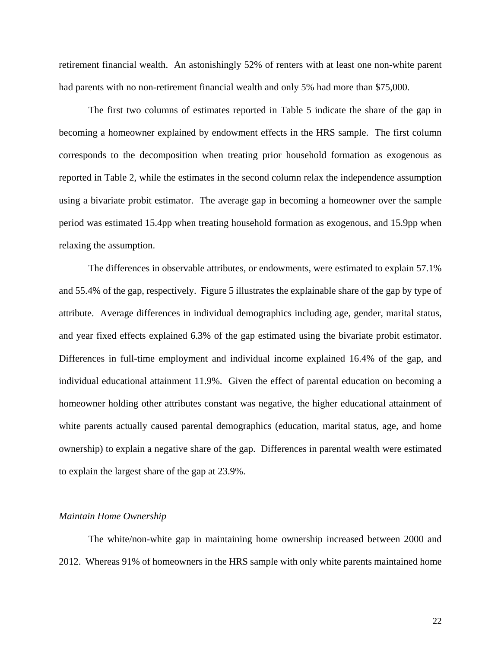retirement financial wealth. An astonishingly 52% of renters with at least one non-white parent had parents with no non-retirement financial wealth and only 5% had more than \$75,000.

The first two columns of estimates reported in Table 5 indicate the share of the gap in becoming a homeowner explained by endowment effects in the HRS sample. The first column corresponds to the decomposition when treating prior household formation as exogenous as reported in Table 2, while the estimates in the second column relax the independence assumption using a bivariate probit estimator. The average gap in becoming a homeowner over the sample period was estimated 15.4pp when treating household formation as exogenous, and 15.9pp when relaxing the assumption.

The differences in observable attributes, or endowments, were estimated to explain 57.1% and 55.4% of the gap, respectively. Figure 5 illustrates the explainable share of the gap by type of attribute. Average differences in individual demographics including age, gender, marital status, and year fixed effects explained 6.3% of the gap estimated using the bivariate probit estimator. Differences in full-time employment and individual income explained 16.4% of the gap, and individual educational attainment 11.9%. Given the effect of parental education on becoming a homeowner holding other attributes constant was negative, the higher educational attainment of white parents actually caused parental demographics (education, marital status, age, and home ownership) to explain a negative share of the gap. Differences in parental wealth were estimated to explain the largest share of the gap at 23.9%.

#### *Maintain Home Ownership*

The white/non-white gap in maintaining home ownership increased between 2000 and 2012. Whereas 91% of homeowners in the HRS sample with only white parents maintained home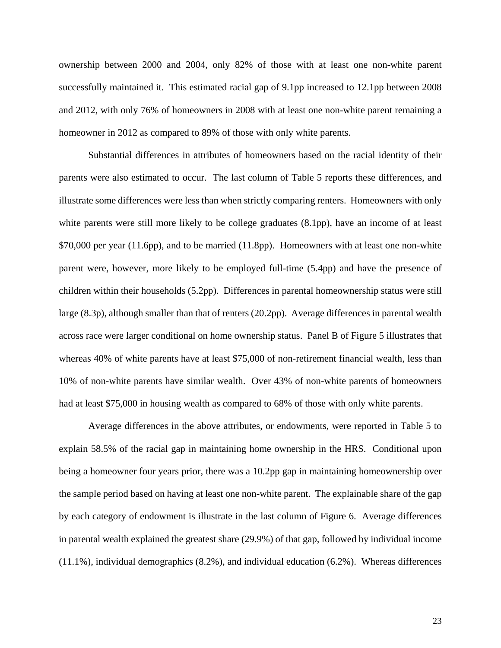ownership between 2000 and 2004, only 82% of those with at least one non-white parent successfully maintained it. This estimated racial gap of 9.1pp increased to 12.1pp between 2008 and 2012, with only 76% of homeowners in 2008 with at least one non-white parent remaining a homeowner in 2012 as compared to 89% of those with only white parents.

Substantial differences in attributes of homeowners based on the racial identity of their parents were also estimated to occur. The last column of Table 5 reports these differences, and illustrate some differences were less than when strictly comparing renters. Homeowners with only white parents were still more likely to be college graduates (8.1pp), have an income of at least \$70,000 per year (11.6pp), and to be married (11.8pp). Homeowners with at least one non-white parent were, however, more likely to be employed full-time (5.4pp) and have the presence of children within their households (5.2pp). Differences in parental homeownership status were still large (8.3p), although smaller than that of renters (20.2pp). Average differences in parental wealth across race were larger conditional on home ownership status. Panel B of Figure 5 illustrates that whereas 40% of white parents have at least \$75,000 of non-retirement financial wealth, less than 10% of non-white parents have similar wealth. Over 43% of non-white parents of homeowners had at least \$75,000 in housing wealth as compared to 68% of those with only white parents.

Average differences in the above attributes, or endowments, were reported in Table 5 to explain 58.5% of the racial gap in maintaining home ownership in the HRS. Conditional upon being a homeowner four years prior, there was a 10.2pp gap in maintaining homeownership over the sample period based on having at least one non-white parent. The explainable share of the gap by each category of endowment is illustrate in the last column of Figure 6. Average differences in parental wealth explained the greatest share (29.9%) of that gap, followed by individual income (11.1%), individual demographics (8.2%), and individual education (6.2%). Whereas differences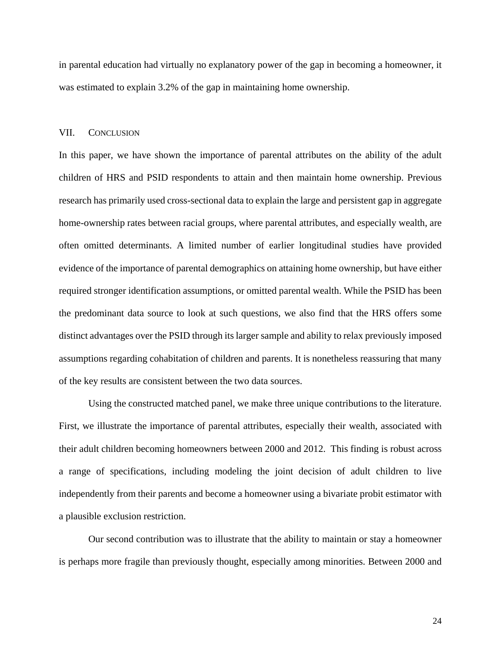in parental education had virtually no explanatory power of the gap in becoming a homeowner, it was estimated to explain 3.2% of the gap in maintaining home ownership.

#### VII. CONCLUSION

In this paper, we have shown the importance of parental attributes on the ability of the adult children of HRS and PSID respondents to attain and then maintain home ownership. Previous research has primarily used cross-sectional data to explain the large and persistent gap in aggregate home-ownership rates between racial groups, where parental attributes, and especially wealth, are often omitted determinants. A limited number of earlier longitudinal studies have provided evidence of the importance of parental demographics on attaining home ownership, but have either required stronger identification assumptions, or omitted parental wealth. While the PSID has been the predominant data source to look at such questions, we also find that the HRS offers some distinct advantages over the PSID through its larger sample and ability to relax previously imposed assumptions regarding cohabitation of children and parents. It is nonetheless reassuring that many of the key results are consistent between the two data sources.

Using the constructed matched panel, we make three unique contributions to the literature. First, we illustrate the importance of parental attributes, especially their wealth, associated with their adult children becoming homeowners between 2000 and 2012. This finding is robust across a range of specifications, including modeling the joint decision of adult children to live independently from their parents and become a homeowner using a bivariate probit estimator with a plausible exclusion restriction.

Our second contribution was to illustrate that the ability to maintain or stay a homeowner is perhaps more fragile than previously thought, especially among minorities. Between 2000 and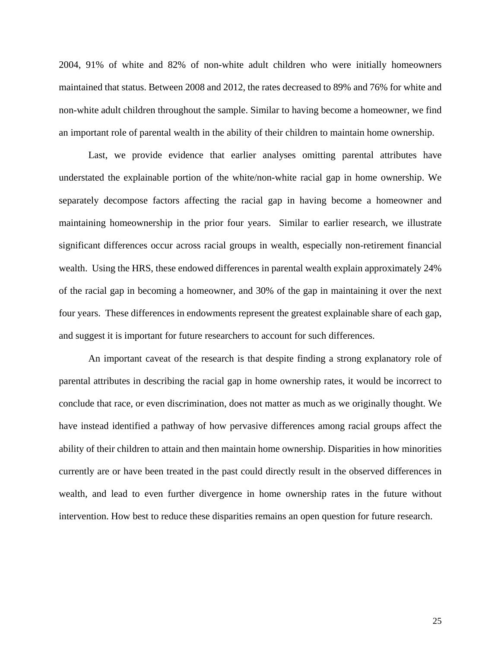2004, 91% of white and 82% of non-white adult children who were initially homeowners maintained that status. Between 2008 and 2012, the rates decreased to 89% and 76% for white and non-white adult children throughout the sample. Similar to having become a homeowner, we find an important role of parental wealth in the ability of their children to maintain home ownership.

Last, we provide evidence that earlier analyses omitting parental attributes have understated the explainable portion of the white/non-white racial gap in home ownership. We separately decompose factors affecting the racial gap in having become a homeowner and maintaining homeownership in the prior four years. Similar to earlier research, we illustrate significant differences occur across racial groups in wealth, especially non-retirement financial wealth. Using the HRS, these endowed differences in parental wealth explain approximately 24% of the racial gap in becoming a homeowner, and 30% of the gap in maintaining it over the next four years. These differences in endowments represent the greatest explainable share of each gap, and suggest it is important for future researchers to account for such differences.

An important caveat of the research is that despite finding a strong explanatory role of parental attributes in describing the racial gap in home ownership rates, it would be incorrect to conclude that race, or even discrimination, does not matter as much as we originally thought. We have instead identified a pathway of how pervasive differences among racial groups affect the ability of their children to attain and then maintain home ownership. Disparities in how minorities currently are or have been treated in the past could directly result in the observed differences in wealth, and lead to even further divergence in home ownership rates in the future without intervention. How best to reduce these disparities remains an open question for future research.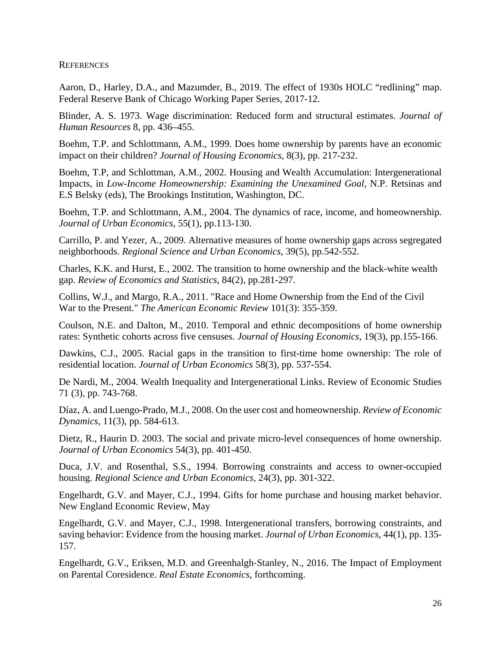**REFERENCES** 

Aaron, D., Harley, D.A., and Mazumder, B., 2019. The effect of 1930s HOLC "redlining" map. Federal Reserve Bank of Chicago Working Paper Series, 2017-12.

Blinder, A. S. 1973. Wage discrimination: Reduced form and structural estimates. *Journal of Human Resources* 8, pp. 436–455.

Boehm, T.P. and Schlottmann, A.M., 1999. Does home ownership by parents have an economic impact on their children? *Journal of Housing Economics*, 8(3), pp. 217-232.

Boehm, T.P, and Schlottman, A.M., 2002. Housing and Wealth Accumulation: Intergenerational Impacts, in *Low-Income Homeownership: Examining the Unexamined Goal*, N.P. Retsinas and E.S Belsky (eds), The Brookings Institution, Washington, DC.

Boehm, T.P. and Schlottmann, A.M., 2004. The dynamics of race, income, and homeownership. *Journal of Urban Economics*, 55(1), pp.113-130.

Carrillo, P. and Yezer, A., 2009. Alternative measures of home ownership gaps across segregated neighborhoods. *Regional Science and Urban Economics*, 39(5), pp.542-552.

Charles, K.K. and Hurst, E., 2002. The transition to home ownership and the black-white wealth gap. *Review of Economics and Statistics*, 84(2), pp.281-297.

Collins, W.J., and Margo, R.A., 2011. "Race and Home Ownership from the End of the Civil War to the Present." *The American Economic Review* 101(3): 355-359.

Coulson, N.E. and Dalton, M., 2010. Temporal and ethnic decompositions of home ownership rates: Synthetic cohorts across five censuses. *Journal of Housing Economics*, 19(3), pp.155-166.

Dawkins, C.J., 2005. Racial gaps in the transition to first-time home ownership: The role of residential location. *Journal of Urban Economics* 58(3), pp. 537-554.

De Nardi, M., 2004. Wealth Inequality and Intergenerational Links. Review of Economic Studies 71 (3), pp. 743-768.

Díaz, A. and Luengo-Prado, M.J., 2008. On the user cost and homeownership. *Review of Economic Dynamics*, 11(3), pp. 584-613.

Dietz, R., Haurin D. 2003. The social and private micro-level consequences of home ownership. *Journal of Urban Economics* 54(3), pp. 401-450.

Duca, J.V. and Rosenthal, S.S., 1994. Borrowing constraints and access to owner-occupied housing. *Regional Science and Urban Economics*, 24(3), pp. 301-322.

Engelhardt, G.V. and Mayer, C.J., 1994. Gifts for home purchase and housing market behavior. New England Economic Review, May

Engelhardt, G.V. and Mayer, C.J., 1998. Intergenerational transfers, borrowing constraints, and saving behavior: Evidence from the housing market. *Journal of Urban Economics*, 44(1), pp. 135- 157.

Engelhardt, G.V., Eriksen, M.D. and Greenhalgh‐Stanley, N., 2016. The Impact of Employment on Parental Coresidence. *Real Estate Economics*, forthcoming.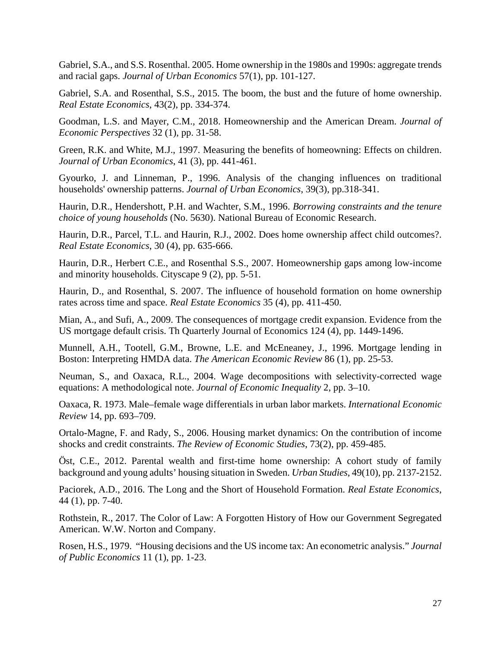Gabriel, S.A., and S.S. Rosenthal. 2005. Home ownership in the 1980s and 1990s: aggregate trends and racial gaps. *Journal of Urban Economics* 57(1), pp. 101-127.

Gabriel, S.A. and Rosenthal, S.S., 2015. The boom, the bust and the future of home ownership. *Real Estate Economics*, 43(2), pp. 334-374.

Goodman, L.S. and Mayer, C.M., 2018. Homeownership and the American Dream. *Journal of Economic Perspectives* 32 (1), pp. 31-58.

Green, R.K. and White, M.J., 1997. Measuring the benefits of homeowning: Effects on children. *Journal of Urban Economics*, 41 (3), pp. 441-461.

Gyourko, J. and Linneman, P., 1996. Analysis of the changing influences on traditional households' ownership patterns. *Journal of Urban Economics*, 39(3), pp.318-341.

Haurin, D.R., Hendershott, P.H. and Wachter, S.M., 1996. *Borrowing constraints and the tenure choice of young households* (No. 5630). National Bureau of Economic Research.

Haurin, D.R., Parcel, T.L. and Haurin, R.J., 2002. Does home ownership affect child outcomes?. *Real Estate Economics*, 30 (4), pp. 635-666.

Haurin, D.R., Herbert C.E., and Rosenthal S.S., 2007. Homeownership gaps among low-income and minority households. Cityscape 9 (2), pp. 5-51.

Haurin, D., and Rosenthal, S. 2007. The influence of household formation on home ownership rates across time and space. *Real Estate Economics* 35 (4), pp. 411-450.

Mian, A., and Sufi, A., 2009. The consequences of mortgage credit expansion. Evidence from the US mortgage default crisis. Th Quarterly Journal of Economics 124 (4), pp. 1449-1496.

Munnell, A.H., Tootell, G.M., Browne, L.E. and McEneaney, J., 1996. Mortgage lending in Boston: Interpreting HMDA data. *The American Economic Review* 86 (1), pp. 25-53.

Neuman, S., and Oaxaca, R.L., 2004. Wage decompositions with selectivity-corrected wage equations: A methodological note. *Journal of Economic Inequality* 2, pp. 3–10.

Oaxaca, R. 1973. Male–female wage differentials in urban labor markets. *International Economic Review* 14, pp. 693–709.

Ortalo-Magne, F. and Rady, S., 2006. Housing market dynamics: On the contribution of income shocks and credit constraints. *The Review of Economic Studies*, 73(2), pp. 459-485.

Öst, C.E., 2012. Parental wealth and first-time home ownership: A cohort study of family background and young adults' housing situation in Sweden. *Urban Studies*, 49(10), pp. 2137-2152.

Paciorek, A.D., 2016. The Long and the Short of Household Formation. *Real Estate Economics*, 44 (1), pp. 7-40.

Rothstein, R., 2017. The Color of Law: A Forgotten History of How our Government Segregated American. W.W. Norton and Company.

Rosen, H.S., 1979. "Housing decisions and the US income tax: An econometric analysis." *Journal of Public Economics* 11 (1), pp. 1-23.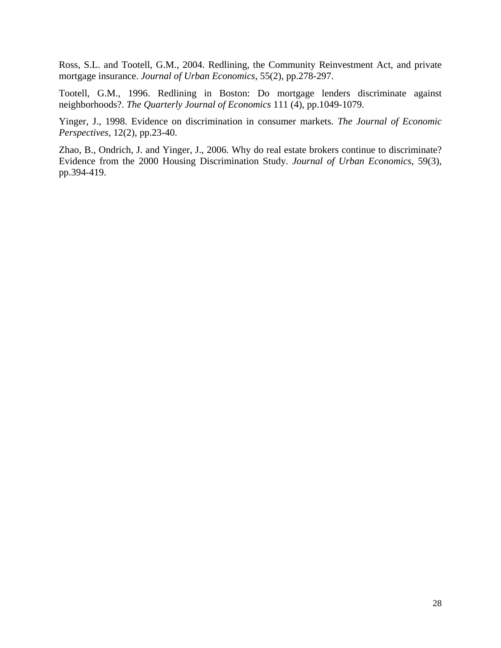Ross, S.L. and Tootell, G.M., 2004. Redlining, the Community Reinvestment Act, and private mortgage insurance. *Journal of Urban Economics*, 55(2), pp.278-297.

Tootell, G.M., 1996. Redlining in Boston: Do mortgage lenders discriminate against neighborhoods?. *The Quarterly Journal of Economics* 111 (4), pp.1049-1079.

Yinger, J., 1998. Evidence on discrimination in consumer markets. *The Journal of Economic Perspectives*, 12(2), pp.23-40.

Zhao, B., Ondrich, J. and Yinger, J., 2006. Why do real estate brokers continue to discriminate? Evidence from the 2000 Housing Discrimination Study. *Journal of Urban Economics*, 59(3), pp.394-419.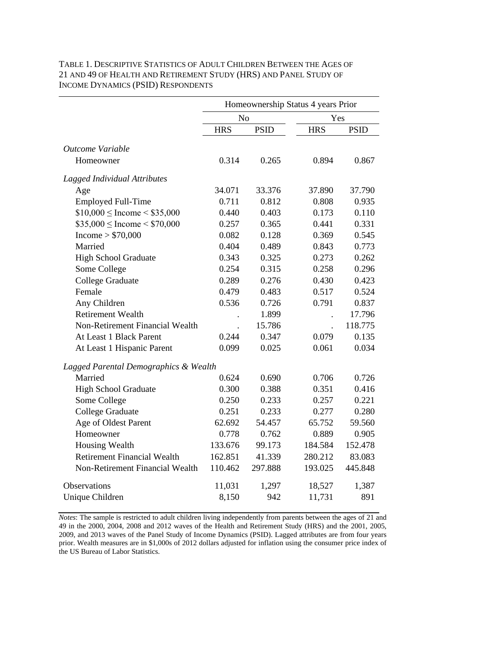## TABLE 1. DESCRIPTIVE STATISTICS OF ADULT CHILDREN BETWEEN THE AGES OF 21 AND 49 OF HEALTH AND RETIREMENT STUDY (HRS) AND PANEL STUDY OF INCOME DYNAMICS (PSID) RESPONDENTS

|                                       | Homeownership Status 4 years Prior |             |            |             |  |
|---------------------------------------|------------------------------------|-------------|------------|-------------|--|
|                                       | N <sub>o</sub>                     |             | Yes        |             |  |
|                                       | <b>HRS</b>                         | <b>PSID</b> | <b>HRS</b> | <b>PSID</b> |  |
| Outcome Variable                      |                                    |             |            |             |  |
| Homeowner                             | 0.314                              | 0.265       | 0.894      | 0.867       |  |
| Lagged Individual Attributes          |                                    |             |            |             |  |
| Age                                   | 34.071                             | 33.376      | 37.890     | 37.790      |  |
| <b>Employed Full-Time</b>             | 0.711                              | 0.812       | 0.808      | 0.935       |  |
| $$10,000 \leq$ Income < \$35,000      | 0.440                              | 0.403       | 0.173      | 0.110       |  |
| $$35,000 \leq$ Income < \$70,000      | 0.257                              | 0.365       | 0.441      | 0.331       |  |
| Income > \$70,000                     | 0.082                              | 0.128       | 0.369      | 0.545       |  |
| Married                               | 0.404                              | 0.489       | 0.843      | 0.773       |  |
| <b>High School Graduate</b>           | 0.343                              | 0.325       | 0.273      | 0.262       |  |
| Some College                          | 0.254                              | 0.315       | 0.258      | 0.296       |  |
| <b>College Graduate</b>               | 0.289                              | 0.276       | 0.430      | 0.423       |  |
| Female                                | 0.479                              | 0.483       | 0.517      | 0.524       |  |
| Any Children                          | 0.536                              | 0.726       | 0.791      | 0.837       |  |
| <b>Retirement Wealth</b>              |                                    | 1.899       |            | 17.796      |  |
| Non-Retirement Financial Wealth       |                                    | 15.786      |            | 118.775     |  |
| At Least 1 Black Parent               | 0.244                              | 0.347       | 0.079      | 0.135       |  |
| At Least 1 Hispanic Parent            | 0.099                              | 0.025       | 0.061      | 0.034       |  |
| Lagged Parental Demographics & Wealth |                                    |             |            |             |  |
| Married                               | 0.624                              | 0.690       | 0.706      | 0.726       |  |
| <b>High School Graduate</b>           | 0.300                              | 0.388       | 0.351      | 0.416       |  |
| Some College                          | 0.250                              | 0.233       | 0.257      | 0.221       |  |
| <b>College Graduate</b>               | 0.251                              | 0.233       | 0.277      | 0.280       |  |
| Age of Oldest Parent                  | 62.692                             | 54.457      | 65.752     | 59.560      |  |
| Homeowner                             | 0.778                              | 0.762       | 0.889      | 0.905       |  |
| Housing Wealth                        | 133.676                            | 99.173      | 184.584    | 152.478     |  |
| <b>Retirement Financial Wealth</b>    | 162.851                            | 41.339      | 280.212    | 83.083      |  |
| Non-Retirement Financial Wealth       | 110.462                            | 297.888     | 193.025    | 445.848     |  |
| <b>Observations</b>                   | 11,031                             | 1,297       | 18,527     | 1,387       |  |
| Unique Children                       | 8,150                              | 942         | 11,731     | 891         |  |

*Notes*: The sample is restricted to adult children living independently from parents between the ages of 21 and 49 in the 2000, 2004, 2008 and 2012 waves of the Health and Retirement Study (HRS) and the 2001, 2005, 2009, and 2013 waves of the Panel Study of Income Dynamics (PSID). Lagged attributes are from four years prior. Wealth measures are in \$1,000s of 2012 dollars adjusted for inflation using the consumer price index of the US Bureau of Labor Statistics.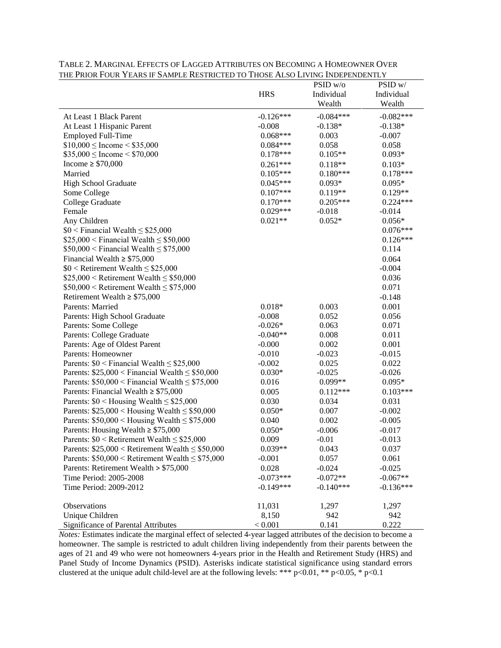|                                                       | <b>HRS</b>  | PSID w/o<br>Individual | PSID w/<br>Individual |
|-------------------------------------------------------|-------------|------------------------|-----------------------|
|                                                       |             | Wealth                 | Wealth                |
| At Least 1 Black Parent                               | $-0.126***$ | $-0.084***$            | $-0.082***$           |
| At Least 1 Hispanic Parent                            | $-0.008$    | $-0.138*$              | $-0.138*$             |
| <b>Employed Full-Time</b>                             | $0.068***$  | 0.003                  | $-0.007$              |
| $$10,000 \leq$ Income < \$35,000                      | $0.084***$  | 0.058                  | 0.058                 |
| $$35,000 \leq$ Income < \$70,000                      | $0.178***$  | $0.105**$              | $0.093*$              |
| Income $\geq$ \$70,000                                | $0.261***$  | $0.118**$              | $0.103*$              |
| Married                                               | $0.105***$  | $0.180***$             | $0.178***$            |
| <b>High School Graduate</b>                           | $0.045***$  | $0.093*$               | $0.095*$              |
| Some College                                          | $0.107***$  | $0.119**$              | $0.129**$             |
| College Graduate                                      | $0.170***$  | $0.205***$             | $0.224***$            |
| Female                                                | $0.029***$  | $-0.018$               | $-0.014$              |
| Any Children                                          | $0.021**$   | $0.052*$               | $0.056*$              |
| $$0 <$ Financial Wealth $\leq$ \$25,000               |             |                        | $0.076***$            |
| $$25,000 <$ Financial Wealth $\leq$ \$50,000          |             |                        | $0.126***$            |
| $$50,000 <$ Financial Wealth $\leq $75,000$           |             |                        | 0.114                 |
| Financial Wealth $\geq$ \$75,000                      |             |                        | 0.064                 |
| $$0 <$ Retirement Wealth $\leq$ \$25,000              |             |                        | $-0.004$              |
| $$25,000 <$ Retirement Wealth $\leq $50,000$          |             |                        | 0.036                 |
| $$50,000 <$ Retirement Wealth $\leq $75,000$          |             |                        | 0.071                 |
| Retirement Wealth $\geq$ \$75,000                     |             |                        | $-0.148$              |
| Parents: Married                                      | $0.018*$    | 0.003                  | 0.001                 |
| Parents: High School Graduate                         | $-0.008$    | 0.052                  | 0.056                 |
| Parents: Some College                                 | $-0.026*$   | 0.063                  | 0.071                 |
| Parents: College Graduate                             | $-0.040**$  | 0.008                  | 0.011                 |
| Parents: Age of Oldest Parent                         | $-0.000$    | 0.002                  | 0.001                 |
| Parents: Homeowner                                    | $-0.010$    | $-0.023$               | $-0.015$              |
| Parents: $$0 <$ Financial Wealth $\leq$ \$25,000      | $-0.002$    | 0.025                  | 0.022                 |
| Parents: $$25,000 <$ Financial Wealth $\leq $50,000$  | $0.030*$    | $-0.025$               | $-0.026$              |
| Parents: $$50,000 <$ Financial Wealth $\leq$ \$75,000 | 0.016       | $0.099**$              | $0.095*$              |
| Parents: Financial Wealth $\geq$ \$75,000             | 0.005       | $0.112***$             | $0.103***$            |
| Parents: $$0$ < Housing Wealth $\leq$ \$25,000        | 0.030       | 0.034                  | 0.031                 |
| Parents: $$25,000 <$ Housing Wealth $\leq $50,000$    | $0.050*$    | 0.007                  | $-0.002$              |
| Parents: $$50,000 <$ Housing Wealth $\leq$ \$75,000   | 0.040       | 0.002                  | $-0.005$              |
| Parents: Housing Wealth $\geq$ \$75,000               | $0.050*$    | $-0.006$               | $-0.017$              |
| Parents: $$0 <$ Retirement Wealth $\leq$ \$25,000     | 0.009       | $-0.01$                | $-0.013$              |
| Parents: $$25,000 <$ Retirement Wealth $\leq $50,000$ | $0.039**$   | 0.043                  | 0.037                 |
| Parents: $$50,000 <$ Retirement Wealth $\leq $75,000$ | $-0.001$    | 0.057                  | 0.061                 |
| Parents: Retirement Wealth > \$75,000                 | 0.028       | $-0.024$               | $-0.025$              |
| Time Period: 2005-2008                                | $-0.073***$ | $-0.072**$             | $-0.067**$            |
| Time Period: 2009-2012                                | $-0.149***$ | $-0.140***$            | $-0.136***$           |
| Observations                                          | 11,031      | 1,297                  | 1,297                 |
| Unique Children                                       | 8,150       | 942                    | 942                   |
| <b>Significance of Parental Attributes</b>            | < 0.001     | 0.141                  | 0.222                 |

TABLE 2. MARGINAL EFFECTS OF LAGGED ATTRIBUTES ON BECOMING A HOMEOWNER OVER THE PRIOR FOUR YEARS IF SAMPLE RESTRICTED TO THOSE ALSO LIVING INDEPENDENTLY

*Notes:* Estimates indicate the marginal effect of selected 4-year lagged attributes of the decision to become a homeowner. The sample is restricted to adult children living independently from their parents between the ages of 21 and 49 who were not homeowners 4-years prior in the Health and Retirement Study (HRS) and Panel Study of Income Dynamics (PSID). Asterisks indicate statistical significance using standard errors clustered at the unique adult child-level are at the following levels: \*\*\* p<0.01, \*\* p<0.05, \* p<0.1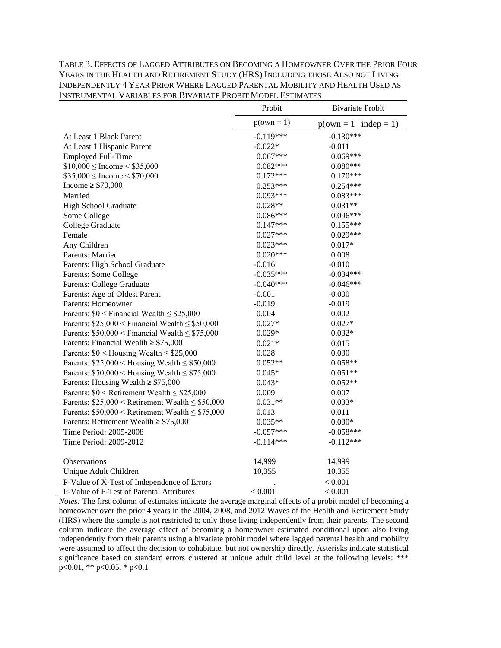TABLE 3. EFFECTS OF LAGGED ATTRIBUTES ON BECOMING A HOMEOWNER OVER THE PRIOR FOUR YEARS IN THE HEALTH AND RETIREMENT STUDY (HRS) INCLUDING THOSE ALSO NOT LIVING INDEPENDENTLY 4 YEAR PRIOR WHERE LAGGED PARENTAL MOBILITY AND HEALTH USED AS INSTRUMENTAL VARIABLES FOR BIVARIATE PROBIT MODEL ESTIMATES

|                                                       | Probit       | <b>Bivariate Probit</b>  |
|-------------------------------------------------------|--------------|--------------------------|
|                                                       | $p(own = 1)$ | $p(own = 1   indep = 1)$ |
| At Least 1 Black Parent                               | $-0.119***$  | $-0.130***$              |
| At Least 1 Hispanic Parent                            | $-0.022*$    | $-0.011$                 |
| <b>Employed Full-Time</b>                             | $0.067***$   | $0.069***$               |
| $$10,000 \leq$ Income < \$35,000                      | $0.082***$   | $0.080***$               |
| $$35,000 \leq$ Income $< $70,000$                     | $0.172***$   | $0.170***$               |
| Income $\geq$ \$70,000                                | $0.253***$   | 0.254***                 |
| Married                                               | $0.093***$   | $0.083***$               |
| <b>High School Graduate</b>                           | $0.028**$    | $0.031**$                |
| Some College                                          | $0.086***$   | $0.096***$               |
| College Graduate                                      | $0.147***$   | $0.155***$               |
| Female                                                | $0.027***$   | $0.029***$               |
| Any Children                                          | $0.023***$   | $0.017*$                 |
| Parents: Married                                      | $0.020***$   | 0.008                    |
| Parents: High School Graduate                         | $-0.016$     | $-0.010$                 |
| Parents: Some College                                 | $-0.035***$  | $-0.034***$              |
| Parents: College Graduate                             | $-0.040***$  | $-0.046***$              |
| Parents: Age of Oldest Parent                         | $-0.001$     | $-0.000$                 |
| Parents: Homeowner                                    | $-0.019$     | $-0.019$                 |
| Parents: $$0 <$ Financial Wealth $\leq$ \$25,000      | 0.004        | 0.002                    |
| Parents: $$25,000 <$ Financial Wealth $\leq$ \$50,000 | $0.027*$     | $0.027*$                 |
| Parents: $$50,000 <$ Financial Wealth $\leq$ \$75,000 | $0.029*$     | $0.032*$                 |
| Parents: Financial Wealth $\geq$ \$75,000             | $0.021*$     | 0.015                    |
| Parents: $$0$ < Housing Wealth $\le$ \$25,000         | 0.028        | 0.030                    |
| Parents: $$25,000 <$ Housing Wealth $\leq $50,000$    | $0.052**$    | $0.058**$                |
| Parents: $$50,000 <$ Housing Wealth $\leq$ \$75,000   | $0.045*$     | $0.051**$                |
| Parents: Housing Wealth $\geq$ \$75,000               | $0.043*$     | $0.052**$                |
| Parents: $$0 <$ Retirement Wealth $\leq$ \$25,000     | 0.009        | 0.007                    |
| Parents: $$25,000 <$ Retirement Wealth $\leq $50,000$ | $0.031**$    | $0.033*$                 |
| Parents: $$50,000 <$ Retirement Wealth $\leq $75,000$ | 0.013        | 0.011                    |
| Parents: Retirement Wealth $\geq$ \$75,000            | $0.035**$    | $0.030*$                 |
| Time Period: 2005-2008                                | $-0.057***$  | $-0.058***$              |
| Time Period: 2009-2012                                | $-0.114***$  | $-0.112***$              |
| Observations                                          | 14,999       | 14,999                   |
| Unique Adult Children                                 | 10,355       | 10,355                   |
| P-Value of X-Test of Independence of Errors           |              | < 0.001                  |
| P-Value of F-Test of Parental Attributes              | < 0.001      | < 0.001                  |

*Notes:* The first column of estimates indicate the average marginal effects of a probit model of becoming a homeowner over the prior 4 years in the 2004, 2008, and 2012 Waves of the Health and Retirement Study (HRS) where the sample is not restricted to only those living independently from their parents. The second column indicate the average effect of becoming a homeowner estimated conditional upon also living independently from their parents using a bivariate probit model where lagged parental health and mobility were assumed to affect the decision to cohabitate, but not ownership directly. Asterisks indicate statistical significance based on standard errors clustered at unique adult child level at the following levels: \*\*\*  $p<0.01$ , \*\*  $p<0.05$ , \*  $p<0.1$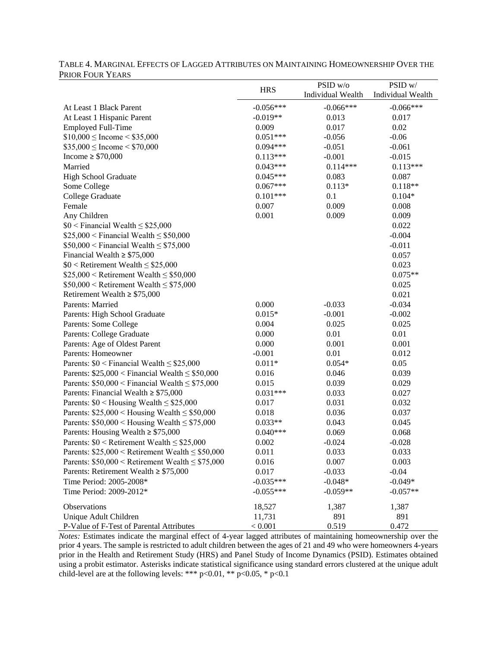| LNON LOON LEANS                                       |             |                   |                   |
|-------------------------------------------------------|-------------|-------------------|-------------------|
|                                                       | <b>HRS</b>  | PSID w/o          | PSID w/           |
|                                                       |             | Individual Wealth | Individual Wealth |
| At Least 1 Black Parent                               | $-0.056***$ | $-0.066***$       | $-0.066***$       |
| At Least 1 Hispanic Parent                            | $-0.019**$  | 0.013             | 0.017             |
| <b>Employed Full-Time</b>                             | 0.009       | 0.017             | 0.02              |
| $$10,000 \leq$ Income < \$35,000                      | $0.051***$  | $-0.056$          | $-0.06$           |
| $$35,000 \leq$ Income $< $70,000$                     | $0.094***$  | $-0.051$          | $-0.061$          |
| Income $\geq$ \$70,000                                | $0.113***$  | $-0.001$          | $-0.015$          |
| Married                                               | $0.043***$  | $0.114***$        | $0.113***$        |
| <b>High School Graduate</b>                           | $0.045***$  | 0.083             | 0.087             |
| Some College                                          | $0.067***$  | $0.113*$          | $0.118**$         |
| College Graduate                                      | $0.101***$  | 0.1               | $0.104*$          |
| Female                                                | 0.007       | 0.009             | 0.008             |
| Any Children                                          | 0.001       | 0.009             | 0.009             |
| $$0 <$ Financial Wealth $\leq$ \$25,000               |             |                   | 0.022             |
| $$25,000 <$ Financial Wealth $\leq $50,000$           |             |                   | $-0.004$          |
| $$50,000 <$ Financial Wealth $\leq $75,000$           |             |                   | $-0.011$          |
| Financial Wealth $\geq$ \$75,000                      |             |                   | 0.057             |
| $$0 <$ Retirement Wealth $\leq$ \$25,000              |             |                   | 0.023             |
| $$25,000 <$ Retirement Wealth $\leq $50,000$          |             |                   | $0.075**$         |
| $$50,000 <$ Retirement Wealth $\leq $75,000$          |             |                   | 0.025             |
| Retirement Wealth $\geq$ \$75,000                     |             |                   | 0.021             |
| Parents: Married                                      | 0.000       | $-0.033$          | $-0.034$          |
| Parents: High School Graduate                         | $0.015*$    | $-0.001$          | $-0.002$          |
| Parents: Some College                                 | 0.004       | 0.025             | 0.025             |
| Parents: College Graduate                             | 0.000       | 0.01              | 0.01              |
| Parents: Age of Oldest Parent                         | 0.000       | 0.001             | 0.001             |
| Parents: Homeowner                                    | $-0.001$    | 0.01              | 0.012             |
| Parents: $$0 <$ Financial Wealth $\leq$ \$25,000      | $0.011*$    | $0.054*$          | 0.05              |
| Parents: $$25,000 <$ Financial Wealth $\leq $50,000$  | 0.016       | 0.046             | 0.039             |
| Parents: $$50,000 <$ Financial Wealth $\leq$ \$75,000 | 0.015       | 0.039             | 0.029             |
| Parents: Financial Wealth $\geq$ \$75,000             | $0.031***$  | 0.033             | 0.027             |
| Parents: $$0$ < Housing Wealth $\leq$ \$25,000        | 0.017       | 0.031             | 0.032             |
| Parents: $$25,000 <$ Housing Wealth $\leq $50,000$    | 0.018       | 0.036             | 0.037             |
| Parents: $$50,000 <$ Housing Wealth $\leq$ \$75,000   | $0.033**$   | 0.043             | 0.045             |
| Parents: Housing Wealth $\geq$ \$75,000               | $0.040***$  | 0.069             | 0.068             |
| Parents: $$0 <$ Retirement Wealth $\leq$ \$25,000     | 0.002       | $-0.024$          | $-0.028$          |
| Parents: $$25,000 <$ Retirement Wealth $\leq $50,000$ | 0.011       | 0.033             | 0.033             |
| Parents: $$50,000 <$ Retirement Wealth $\leq $75,000$ | 0.016       | 0.007             | 0.003             |
| Parents: Retirement Wealth $\geq$ \$75,000            | 0.017       | $-0.033$          | $-0.04$           |
| Time Period: 2005-2008*                               | $-0.035***$ | $-0.048*$         | $-0.049*$         |
| Time Period: 2009-2012*                               | $-0.055***$ | $-0.059**$        | $-0.057**$        |
| Observations                                          | 18,527      | 1,387             | 1,387             |
| Unique Adult Children                                 | 11,731      | 891               | 891               |
| P-Value of F-Test of Parental Attributes              | < 0.001     | 0.519             | 0.472             |

## TABLE 4. MARGINAL EFFECTS OF LAGGED ATTRIBUTES ON MAINTAINING HOMEOWNERSHIP OVER THE PRIOR FOUR YEARS

*Notes:* Estimates indicate the marginal effect of 4-year lagged attributes of maintaining homeownership over the prior 4 years. The sample is restricted to adult children between the ages of 21 and 49 who were homeowners 4-years prior in the Health and Retirement Study (HRS) and Panel Study of Income Dynamics (PSID). Estimates obtained using a probit estimator. Asterisks indicate statistical significance using standard errors clustered at the unique adult child-level are at the following levels: \*\*\* p<0.01, \*\* p<0.05, \* p<0.1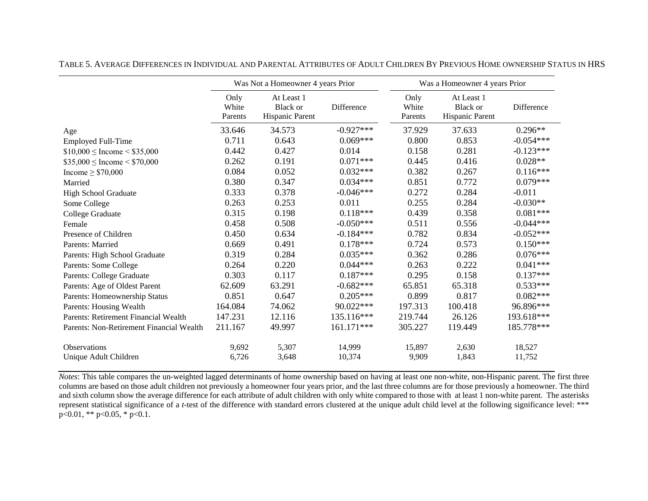|                                          | Was Not a Homeowner 4 years Prior |                                                  | Was a Homeowner 4 years Prior |                          |                                                  |             |
|------------------------------------------|-----------------------------------|--------------------------------------------------|-------------------------------|--------------------------|--------------------------------------------------|-------------|
|                                          | Only<br>White<br>Parents          | At Least 1<br><b>Black or</b><br>Hispanic Parent | Difference                    | Only<br>White<br>Parents | At Least 1<br><b>Black</b> or<br>Hispanic Parent | Difference  |
| Age                                      | 33.646                            | 34.573                                           | $-0.927***$                   | 37.929                   | 37.633                                           | $0.296**$   |
| <b>Employed Full-Time</b>                | 0.711                             | 0.643                                            | $0.069***$                    | 0.800                    | 0.853                                            | $-0.054***$ |
| $$10,000 \leq$ Income < \$35,000         | 0.442                             | 0.427                                            | 0.014                         | 0.158                    | 0.281                                            | $-0.123***$ |
| $$35,000 \leq$ Income $< $70,000$        | 0.262                             | 0.191                                            | $0.071***$                    | 0.445                    | 0.416                                            | $0.028**$   |
| Income $\geq$ \$70,000                   | 0.084                             | 0.052                                            | $0.032***$                    | 0.382                    | 0.267                                            | $0.116***$  |
| Married                                  | 0.380                             | 0.347                                            | $0.034***$                    | 0.851                    | 0.772                                            | $0.079***$  |
| <b>High School Graduate</b>              | 0.333                             | 0.378                                            | $-0.046***$                   | 0.272                    | 0.284                                            | $-0.011$    |
| Some College                             | 0.263                             | 0.253                                            | 0.011                         | 0.255                    | 0.284                                            | $-0.030**$  |
| College Graduate                         | 0.315                             | 0.198                                            | $0.118***$                    | 0.439                    | 0.358                                            | $0.081***$  |
| Female                                   | 0.458                             | 0.508                                            | $-0.050***$                   | 0.511                    | 0.556                                            | $-0.044***$ |
| Presence of Children                     | 0.450                             | 0.634                                            | $-0.184***$                   | 0.782                    | 0.834                                            | $-0.052***$ |
| Parents: Married                         | 0.669                             | 0.491                                            | $0.178***$                    | 0.724                    | 0.573                                            | $0.150***$  |
| Parents: High School Graduate            | 0.319                             | 0.284                                            | $0.035***$                    | 0.362                    | 0.286                                            | $0.076***$  |
| Parents: Some College                    | 0.264                             | 0.220                                            | $0.044***$                    | 0.263                    | 0.222                                            | $0.041***$  |
| Parents: College Graduate                | 0.303                             | 0.117                                            | $0.187***$                    | 0.295                    | 0.158                                            | $0.137***$  |
| Parents: Age of Oldest Parent            | 62.609                            | 63.291                                           | $-0.682***$                   | 65.851                   | 65.318                                           | $0.533***$  |
| Parents: Homeownership Status            | 0.851                             | 0.647                                            | $0.205***$                    | 0.899                    | 0.817                                            | $0.082***$  |
| Parents: Housing Wealth                  | 164.084                           | 74.062                                           | 90.022***                     | 197.313                  | 100.418                                          | 96.896***   |
| Parents: Retirement Financial Wealth     | 147.231                           | 12.116                                           | 135.116***                    | 219.744                  | 26.126                                           | 193.618***  |
| Parents: Non-Retirement Financial Wealth | 211.167                           | 49.997                                           | 161.171***                    | 305.227                  | 119.449                                          | 185.778***  |
| Observations                             | 9,692                             | 5,307                                            | 14,999                        | 15,897                   | 2,630                                            | 18,527      |
| Unique Adult Children                    | 6,726                             | 3,648                                            | 10,374                        | 9,909                    | 1,843                                            | 11,752      |

TABLE 5. AVERAGE DIFFERENCES IN INDIVIDUAL AND PARENTAL ATTRIBUTES OF ADULT CHILDREN BY PREVIOUS HOME OWNERSHIP STATUS IN HRS

*Notes*: This table compares the un-weighted lagged determinants of home ownership based on having at least one non-white, non-Hispanic parent. The first three columns are based on those adult children not previously a homeowner four years prior, and the last three columns are for those previously a homeowner. The third and sixth column show the average difference for each attribute of adult children with only white compared to those with at least 1 non-white parent. The asterisks represent statistical significance of a *t*-test of the difference with standard errors clustered at the unique adult child level at the following significance level: \*\*\*  $p<0.01$ , \*\*  $p<0.05$ , \*  $p<0.1$ .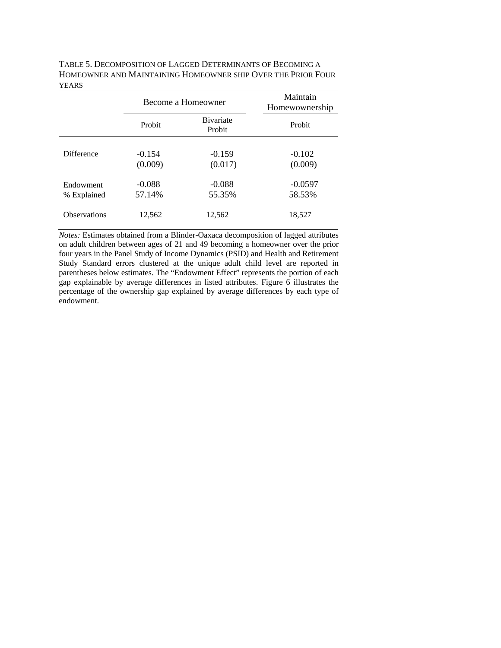|                          | Become a Homeowner  |                             | Maintain<br>Homewownership |  |
|--------------------------|---------------------|-----------------------------|----------------------------|--|
|                          | Probit              | <b>B</b> ivariate<br>Probit | Probit                     |  |
| <b>Difference</b>        | $-0.154$<br>(0.009) | $-0.159$<br>(0.017)         | $-0.102$<br>(0.009)        |  |
| Endowment<br>% Explained | $-0.088$<br>57.14%  | $-0.088$<br>55.35%          | $-0.0597$<br>58.53%        |  |
| <b>Observations</b>      | 12,562              | 12,562                      | 18,527                     |  |

TABLE 5. DECOMPOSITION OF LAGGED DETERMINANTS OF BECOMING A HOMEOWNER AND MAINTAINING HOMEOWNER SHIP OVER THE PRIOR FOUR YEARS

*Notes:* Estimates obtained from a Blinder-Oaxaca decomposition of lagged attributes on adult children between ages of 21 and 49 becoming a homeowner over the prior four years in the Panel Study of Income Dynamics (PSID) and Health and Retirement Study Standard errors clustered at the unique adult child level are reported in parentheses below estimates. The "Endowment Effect" represents the portion of each gap explainable by average differences in listed attributes. Figure 6 illustrates the percentage of the ownership gap explained by average differences by each type of endowment.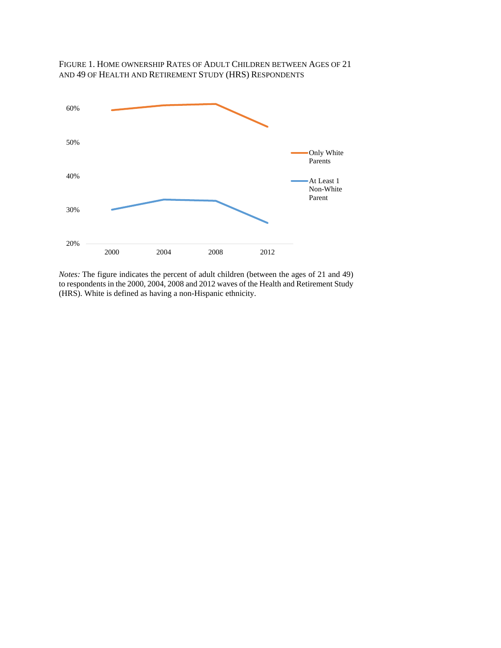

FIGURE 1. HOME OWNERSHIP RATES OF ADULT CHILDREN BETWEEN AGES OF 21 AND 49 OF HEALTH AND RETIREMENT STUDY (HRS) RESPONDENTS

*Notes:* The figure indicates the percent of adult children (between the ages of 21 and 49) to respondents in the 2000, 2004, 2008 and 2012 waves of the Health and Retirement Study (HRS). White is defined as having a non-Hispanic ethnicity.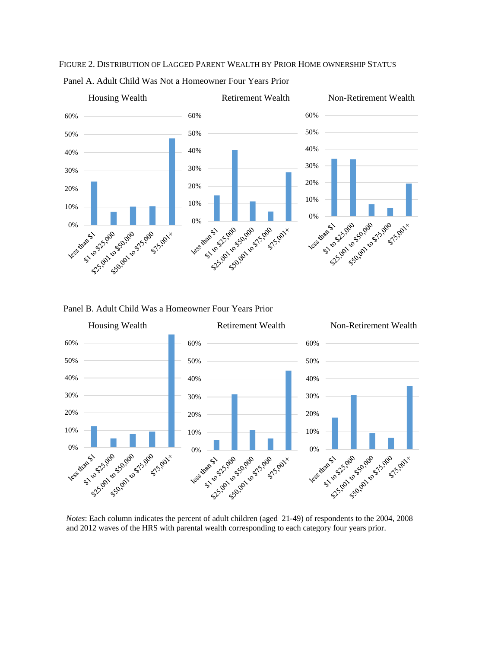

FIGURE 2. DISTRIBUTION OF LAGGED PARENT WEALTH BY PRIOR HOME OWNERSHIP STATUS



Panel B. Adult Child Was a Homeowner Four Years Prior



*Notes*: Each column indicates the percent of adult children (aged 21-49) of respondents to the 2004, 2008 and 2012 waves of the HRS with parental wealth corresponding to each category four years prior.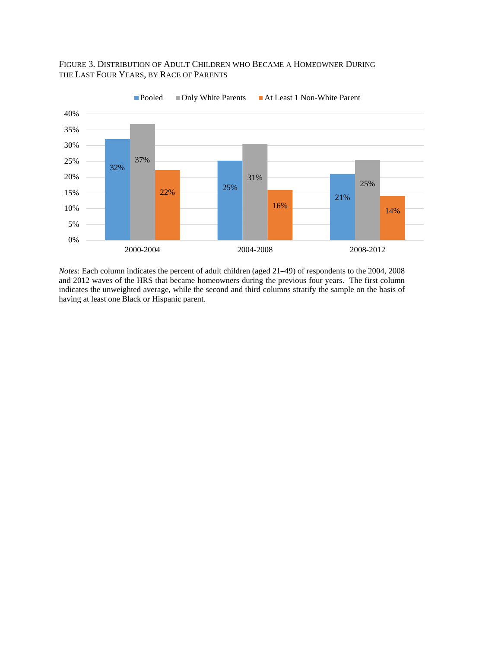## FIGURE 3. DISTRIBUTION OF ADULT CHILDREN WHO BECAME A HOMEOWNER DURING THE LAST FOUR YEARS, BY RACE OF PARENTS



*Notes*: Each column indicates the percent of adult children (aged 21–49) of respondents to the 2004, 2008 and 2012 waves of the HRS that became homeowners during the previous four years. The first column indicates the unweighted average, while the second and third columns stratify the sample on the basis of having at least one Black or Hispanic parent.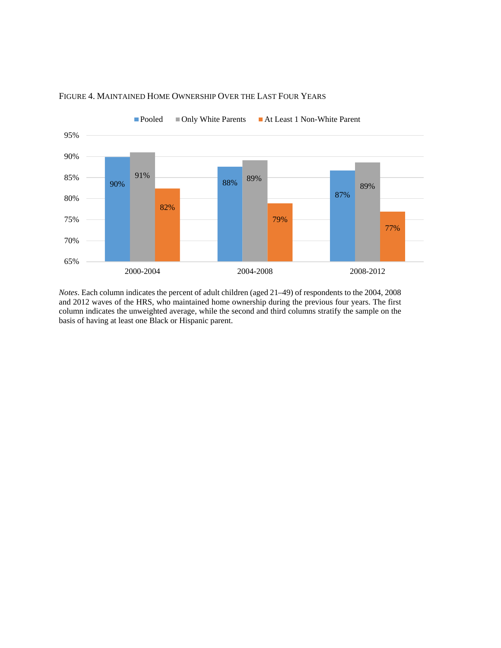

## FIGURE 4. MAINTAINED HOME OWNERSHIP OVER THE LAST FOUR YEARS

*Notes*. Each column indicates the percent of adult children (aged 21–49) of respondents to the 2004, 2008 and 2012 waves of the HRS, who maintained home ownership during the previous four years. The first column indicates the unweighted average, while the second and third columns stratify the sample on the basis of having at least one Black or Hispanic parent.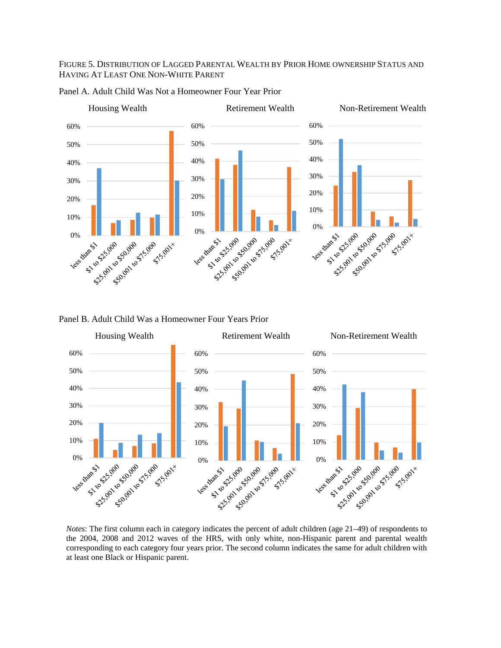#### FIGURE 5. DISTRIBUTION OF LAGGED PARENTAL WEALTH BY PRIOR HOME OWNERSHIP STATUS AND HAVING AT LEAST ONE NON-WHITE PARENT





#### Panel B. Adult Child Was a Homeowner Four Years Prior



the 2004, 2008 and 2012 waves of the HRS, with only white, non-Hispanic parent and parental wealth corresponding to each category four years prior. The second column indicates the same for adult children with at least one Black or Hispanic parent.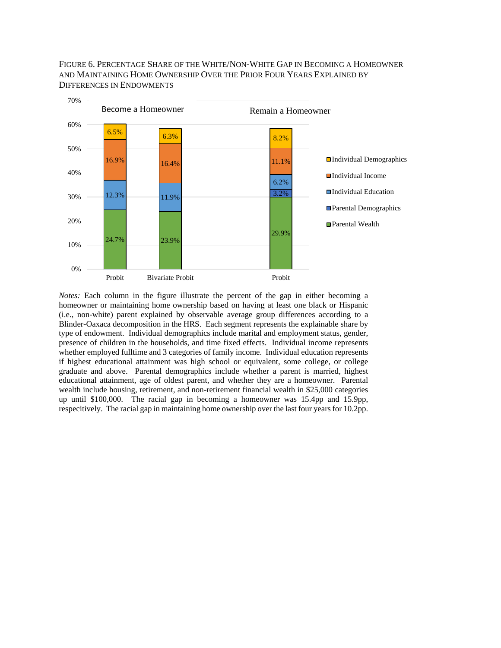FIGURE 6. PERCENTAGE SHARE OF THE WHITE/NON-WHITE GAP IN BECOMING A HOMEOWNER AND MAINTAINING HOME OWNERSHIP OVER THE PRIOR FOUR YEARS EXPLAINED BY DIFFERENCES IN ENDOWMENTS



*Notes:* Each column in the figure illustrate the percent of the gap in either becoming a homeowner or maintaining home ownership based on having at least one black or Hispanic (i.e., non-white) parent explained by observable average group differences according to a Blinder-Oaxaca decomposition in the HRS. Each segment represents the explainable share by type of endowment. Individual demographics include marital and employment status, gender, presence of children in the households, and time fixed effects. Individual income represents whether employed fulltime and 3 categories of family income. Individual education represents if highest educational attainment was high school or equivalent, some college, or college graduate and above. Parental demographics include whether a parent is married, highest educational attainment, age of oldest parent, and whether they are a homeowner. Parental wealth include housing, retirement, and non-retirement financial wealth in \$25,000 categories up until \$100,000. The racial gap in becoming a homeowner was 15.4pp and 15.9pp, respecitively. The racial gap in maintaining home ownership over the last four years for 10.2pp.